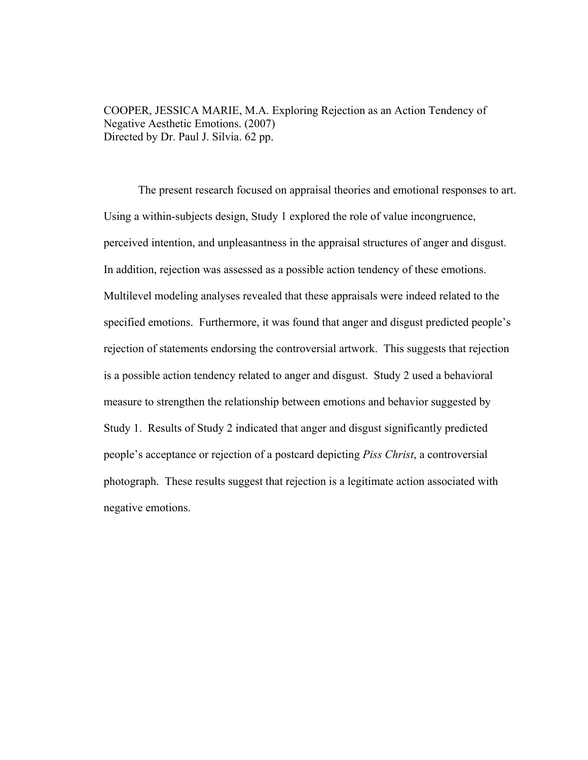COOPER, JESSICA MARIE, M.A. Exploring Rejection as an Action Tendency of Negative Aesthetic Emotions. (2007) Directed by Dr. Paul J. Silvia. 62 pp.

The present research focused on appraisal theories and emotional responses to art. Using a within-subjects design, Study 1 explored the role of value incongruence, perceived intention, and unpleasantness in the appraisal structures of anger and disgust. In addition, rejection was assessed as a possible action tendency of these emotions. Multilevel modeling analyses revealed that these appraisals were indeed related to the specified emotions. Furthermore, it was found that anger and disgust predicted people's rejection of statements endorsing the controversial artwork. This suggests that rejection is a possible action tendency related to anger and disgust. Study 2 used a behavioral measure to strengthen the relationship between emotions and behavior suggested by Study 1. Results of Study 2 indicated that anger and disgust significantly predicted people's acceptance or rejection of a postcard depicting *Piss Christ*, a controversial photograph. These results suggest that rejection is a legitimate action associated with negative emotions.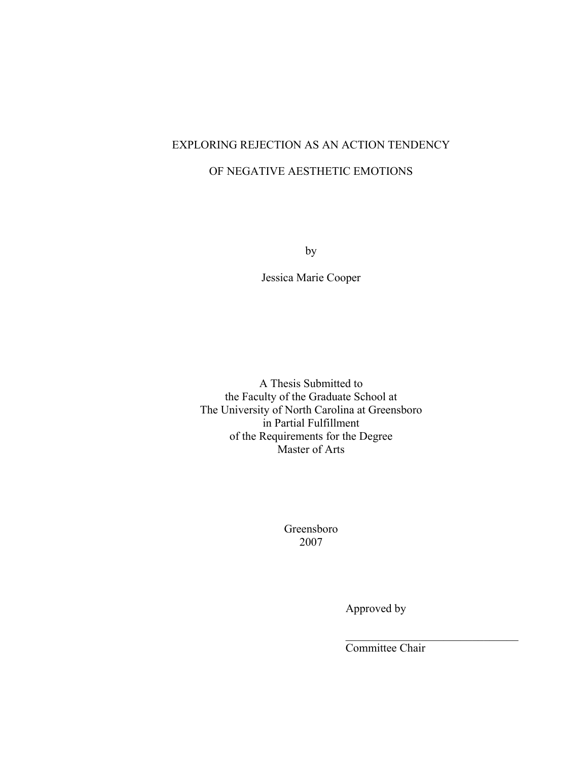# EXPLORING REJECTION AS AN ACTION TENDENCY OF NEGATIVE AESTHETIC EMOTIONS

by

Jessica Marie Cooper

A Thesis Submitted to the Faculty of the Graduate School at The University of North Carolina at Greensboro in Partial Fulfillment of the Requirements for the Degree Master of Arts

> Greensboro 2007

 $\mathcal{L}_\text{max}$  and  $\mathcal{L}_\text{max}$  and  $\mathcal{L}_\text{max}$  and  $\mathcal{L}_\text{max}$  and  $\mathcal{L}_\text{max}$  and  $\mathcal{L}_\text{max}$ 

Approved by

Committee Chair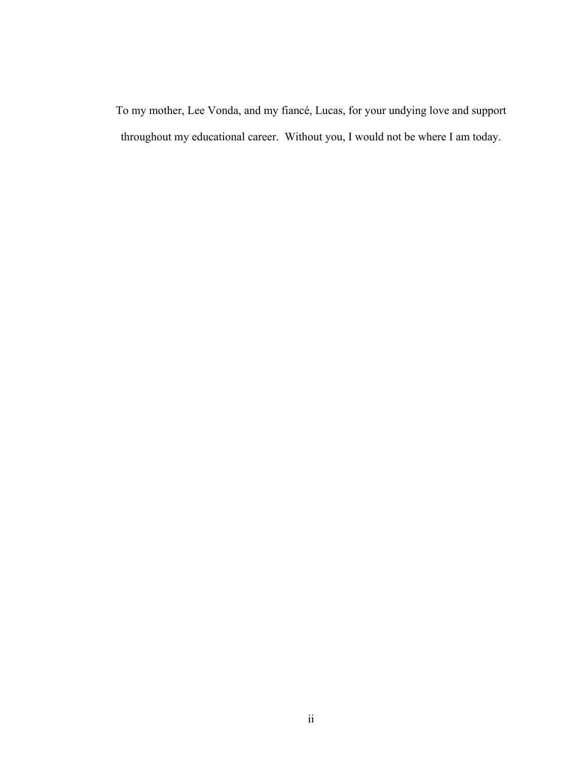To my mother, Lee Vonda, and my fiancé, Lucas, for your undying love and support throughout my educational career. Without you, I would not be where I am today.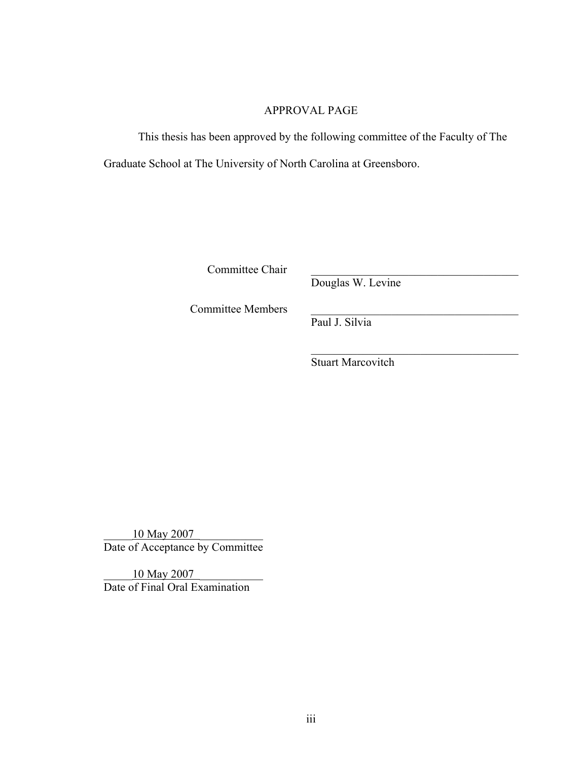# APPROVAL PAGE

This thesis has been approved by the following committee of the Faculty of The Graduate School at The University of North Carolina at Greensboro.

Committee Chair

Douglas W. Levine

Committee Members

Paul J. Silvia

Stuart Marcovitch

 $\mathcal{L}_\text{max}$  , and the set of the set of the set of the set of the set of the set of the set of the set of the set of the set of the set of the set of the set of the set of the set of the set of the set of the set of the

10 May 2007 Date of Acceptance by Committee

10 May 2007 Date of Final Oral Examination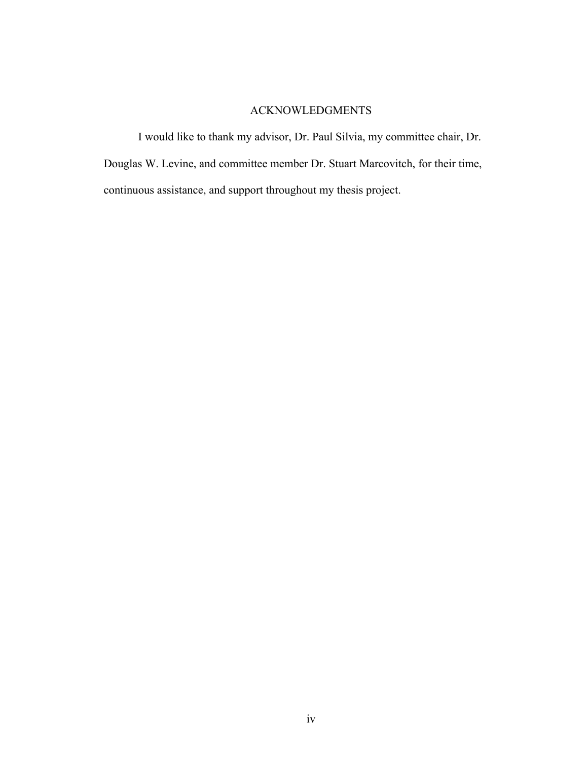# ACKNOWLEDGMENTS

I would like to thank my advisor, Dr. Paul Silvia, my committee chair, Dr. Douglas W. Levine, and committee member Dr. Stuart Marcovitch, for their time, continuous assistance, and support throughout my thesis project.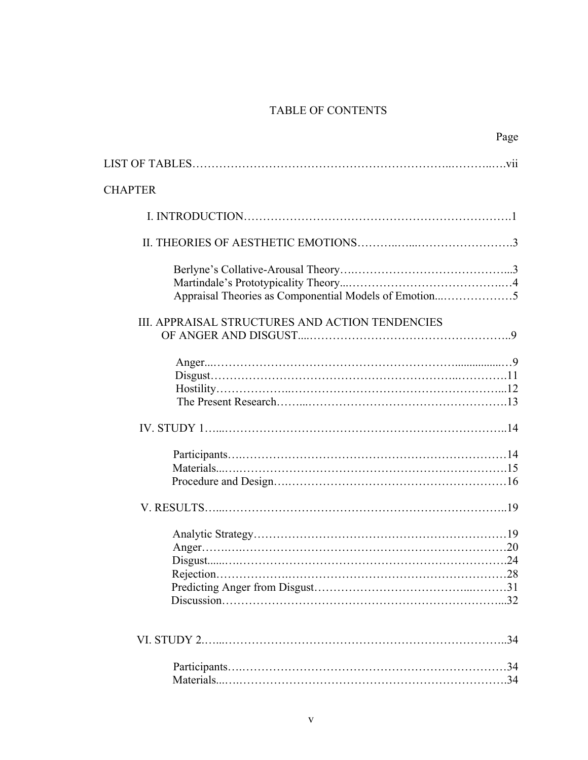# TABLE OF CONTENTS

| Page                                            |  |
|-------------------------------------------------|--|
|                                                 |  |
| <b>CHAPTER</b>                                  |  |
|                                                 |  |
|                                                 |  |
|                                                 |  |
| III. APPRAISAL STRUCTURES AND ACTION TENDENCIES |  |
|                                                 |  |
|                                                 |  |
|                                                 |  |
|                                                 |  |
|                                                 |  |
|                                                 |  |
|                                                 |  |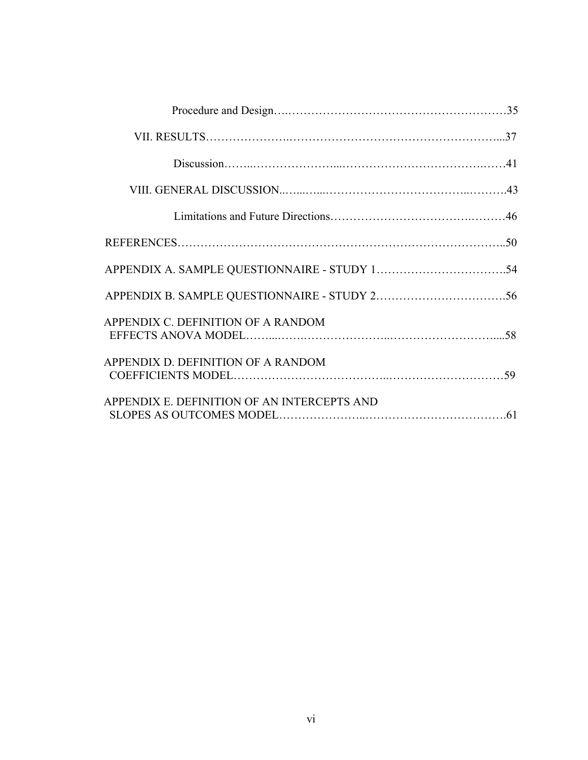| APPENDIX C. DEFINITION OF A RANDOM          |  |
|---------------------------------------------|--|
| APPENDIX D. DEFINITION OF A RANDOM          |  |
| APPENDIX E. DEFINITION OF AN INTERCEPTS AND |  |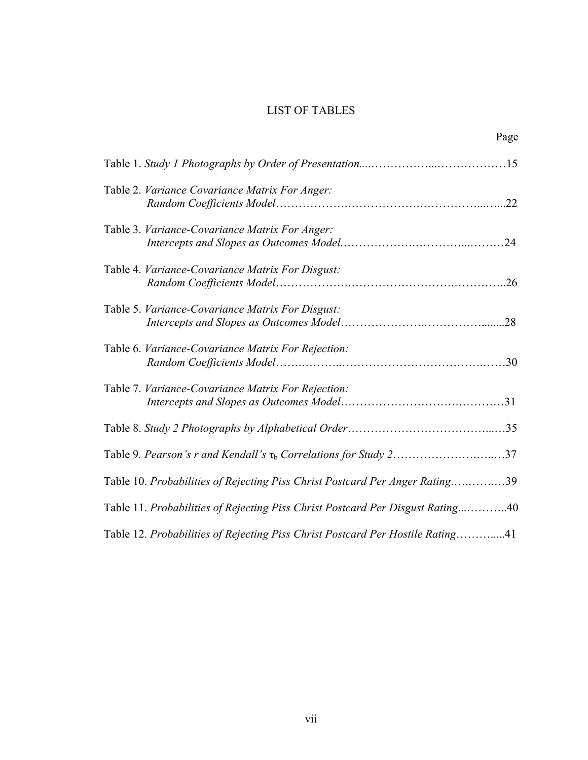# LIST OF TABLES

|                                                                                | Page |
|--------------------------------------------------------------------------------|------|
|                                                                                |      |
| Table 2. Variance Covariance Matrix For Anger:                                 |      |
| Table 3. Variance-Covariance Matrix For Anger:                                 |      |
| Table 4. Variance-Covariance Matrix For Disgust:                               |      |
| Table 5. Variance-Covariance Matrix For Disgust:                               |      |
| Table 6. Variance-Covariance Matrix For Rejection:                             |      |
| Table 7. Variance-Covariance Matrix For Rejection:                             |      |
|                                                                                |      |
| Table 9. Pearson's r and Kendall's $\tau_b$ Correlations for Study 237         |      |
| Table 10. Probabilities of Rejecting Piss Christ Postcard Per Anger Rating39   |      |
| Table 11. Probabilities of Rejecting Piss Christ Postcard Per Disgust Rating40 |      |
| Table 12. Probabilities of Rejecting Piss Christ Postcard Per Hostile Rating41 |      |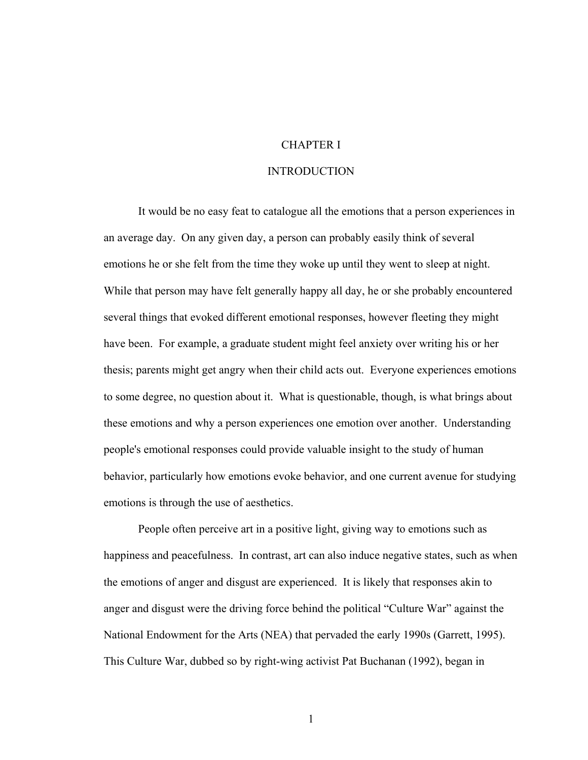## CHAPTER I

#### INTRODUCTION

It would be no easy feat to catalogue all the emotions that a person experiences in an average day. On any given day, a person can probably easily think of several emotions he or she felt from the time they woke up until they went to sleep at night. While that person may have felt generally happy all day, he or she probably encountered several things that evoked different emotional responses, however fleeting they might have been. For example, a graduate student might feel anxiety over writing his or her thesis; parents might get angry when their child acts out. Everyone experiences emotions to some degree, no question about it. What is questionable, though, is what brings about these emotions and why a person experiences one emotion over another. Understanding people's emotional responses could provide valuable insight to the study of human behavior, particularly how emotions evoke behavior, and one current avenue for studying emotions is through the use of aesthetics.

People often perceive art in a positive light, giving way to emotions such as happiness and peacefulness. In contrast, art can also induce negative states, such as when the emotions of anger and disgust are experienced. It is likely that responses akin to anger and disgust were the driving force behind the political "Culture War" against the National Endowment for the Arts (NEA) that pervaded the early 1990s (Garrett, 1995). This Culture War, dubbed so by right-wing activist Pat Buchanan (1992), began in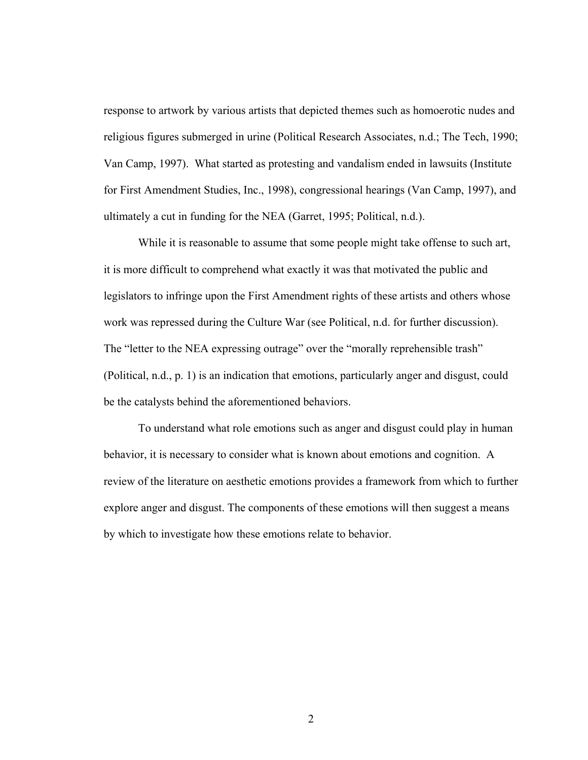response to artwork by various artists that depicted themes such as homoerotic nudes and religious figures submerged in urine (Political Research Associates, n.d.; The Tech, 1990; Van Camp, 1997). What started as protesting and vandalism ended in lawsuits (Institute for First Amendment Studies, Inc., 1998), congressional hearings (Van Camp, 1997), and ultimately a cut in funding for the NEA (Garret, 1995; Political, n.d.).

While it is reasonable to assume that some people might take offense to such art, it is more difficult to comprehend what exactly it was that motivated the public and legislators to infringe upon the First Amendment rights of these artists and others whose work was repressed during the Culture War (see Political, n.d. for further discussion). The "letter to the NEA expressing outrage" over the "morally reprehensible trash" (Political, n.d., p. 1) is an indication that emotions, particularly anger and disgust, could be the catalysts behind the aforementioned behaviors.

To understand what role emotions such as anger and disgust could play in human behavior, it is necessary to consider what is known about emotions and cognition. A review of the literature on aesthetic emotions provides a framework from which to further explore anger and disgust. The components of these emotions will then suggest a means by which to investigate how these emotions relate to behavior.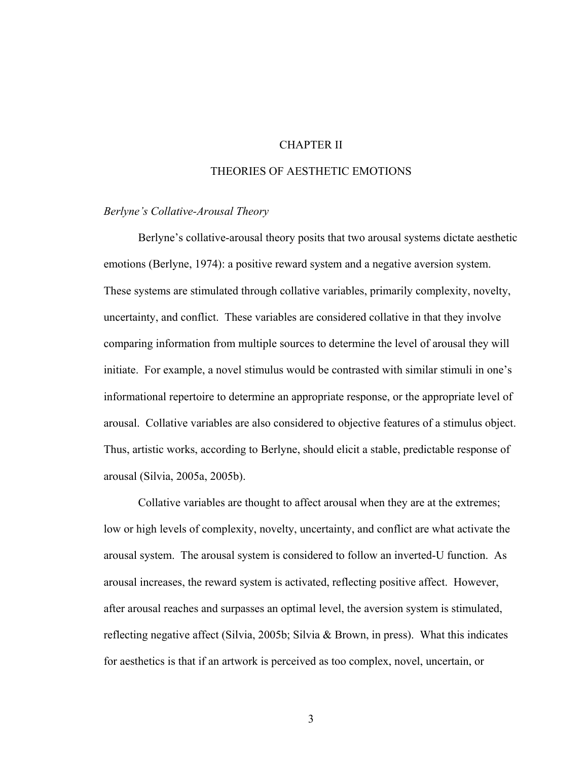## CHAPTER II

## THEORIES OF AESTHETIC EMOTIONS

#### *Berlyne's Collative-Arousal Theory*

 Berlyne's collative-arousal theory posits that two arousal systems dictate aesthetic emotions (Berlyne, 1974): a positive reward system and a negative aversion system. These systems are stimulated through collative variables, primarily complexity, novelty, uncertainty, and conflict. These variables are considered collative in that they involve comparing information from multiple sources to determine the level of arousal they will initiate. For example, a novel stimulus would be contrasted with similar stimuli in one's informational repertoire to determine an appropriate response, or the appropriate level of arousal. Collative variables are also considered to objective features of a stimulus object. Thus, artistic works, according to Berlyne, should elicit a stable, predictable response of arousal (Silvia, 2005a, 2005b).

 Collative variables are thought to affect arousal when they are at the extremes; low or high levels of complexity, novelty, uncertainty, and conflict are what activate the arousal system. The arousal system is considered to follow an inverted-U function. As arousal increases, the reward system is activated, reflecting positive affect. However, after arousal reaches and surpasses an optimal level, the aversion system is stimulated, reflecting negative affect (Silvia, 2005b; Silvia & Brown, in press). What this indicates for aesthetics is that if an artwork is perceived as too complex, novel, uncertain, or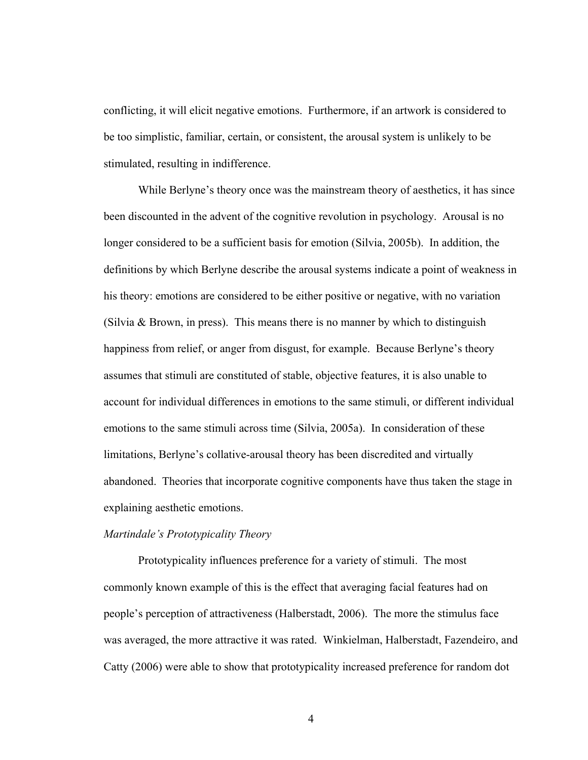conflicting, it will elicit negative emotions. Furthermore, if an artwork is considered to be too simplistic, familiar, certain, or consistent, the arousal system is unlikely to be stimulated, resulting in indifference.

 While Berlyne's theory once was the mainstream theory of aesthetics, it has since been discounted in the advent of the cognitive revolution in psychology. Arousal is no longer considered to be a sufficient basis for emotion (Silvia, 2005b). In addition, the definitions by which Berlyne describe the arousal systems indicate a point of weakness in his theory: emotions are considered to be either positive or negative, with no variation (Silvia  $& Brown$ , in press). This means there is no manner by which to distinguish happiness from relief, or anger from disgust, for example. Because Berlyne's theory assumes that stimuli are constituted of stable, objective features, it is also unable to account for individual differences in emotions to the same stimuli, or different individual emotions to the same stimuli across time (Silvia, 2005a). In consideration of these limitations, Berlyne's collative-arousal theory has been discredited and virtually abandoned. Theories that incorporate cognitive components have thus taken the stage in explaining aesthetic emotions.

## *Martindale's Prototypicality Theory*

 Prototypicality influences preference for a variety of stimuli. The most commonly known example of this is the effect that averaging facial features had on people's perception of attractiveness (Halberstadt, 2006). The more the stimulus face was averaged, the more attractive it was rated. Winkielman, Halberstadt, Fazendeiro, and Catty (2006) were able to show that prototypicality increased preference for random dot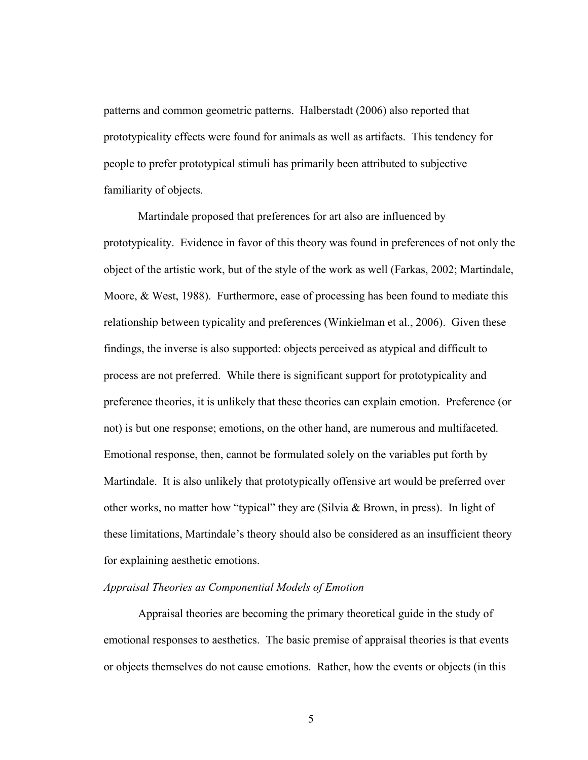patterns and common geometric patterns. Halberstadt (2006) also reported that prototypicality effects were found for animals as well as artifacts. This tendency for people to prefer prototypical stimuli has primarily been attributed to subjective familiarity of objects.

 Martindale proposed that preferences for art also are influenced by prototypicality. Evidence in favor of this theory was found in preferences of not only the object of the artistic work, but of the style of the work as well (Farkas, 2002; Martindale, Moore, & West, 1988). Furthermore, ease of processing has been found to mediate this relationship between typicality and preferences (Winkielman et al., 2006). Given these findings, the inverse is also supported: objects perceived as atypical and difficult to process are not preferred. While there is significant support for prototypicality and preference theories, it is unlikely that these theories can explain emotion. Preference (or not) is but one response; emotions, on the other hand, are numerous and multifaceted. Emotional response, then, cannot be formulated solely on the variables put forth by Martindale. It is also unlikely that prototypically offensive art would be preferred over other works, no matter how "typical" they are (Silvia & Brown, in press). In light of these limitations, Martindale's theory should also be considered as an insufficient theory for explaining aesthetic emotions.

#### *Appraisal Theories as Componential Models of Emotion*

 Appraisal theories are becoming the primary theoretical guide in the study of emotional responses to aesthetics. The basic premise of appraisal theories is that events or objects themselves do not cause emotions. Rather, how the events or objects (in this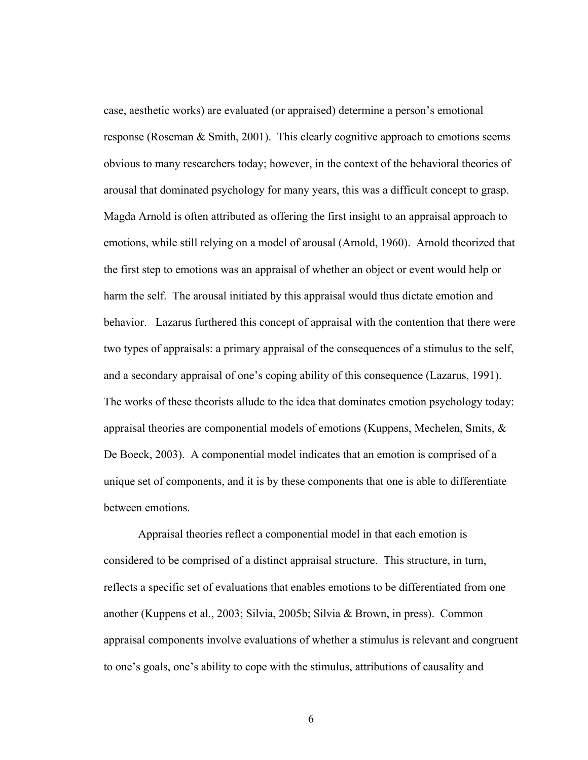case, aesthetic works) are evaluated (or appraised) determine a person's emotional response (Roseman & Smith, 2001). This clearly cognitive approach to emotions seems obvious to many researchers today; however, in the context of the behavioral theories of arousal that dominated psychology for many years, this was a difficult concept to grasp. Magda Arnold is often attributed as offering the first insight to an appraisal approach to emotions, while still relying on a model of arousal (Arnold, 1960). Arnold theorized that the first step to emotions was an appraisal of whether an object or event would help or harm the self. The arousal initiated by this appraisal would thus dictate emotion and behavior. Lazarus furthered this concept of appraisal with the contention that there were two types of appraisals: a primary appraisal of the consequences of a stimulus to the self, and a secondary appraisal of one's coping ability of this consequence (Lazarus, 1991). The works of these theorists allude to the idea that dominates emotion psychology today: appraisal theories are componential models of emotions (Kuppens, Mechelen, Smits,  $\&$ De Boeck, 2003). A componential model indicates that an emotion is comprised of a unique set of components, and it is by these components that one is able to differentiate between emotions.

 Appraisal theories reflect a componential model in that each emotion is considered to be comprised of a distinct appraisal structure. This structure, in turn, reflects a specific set of evaluations that enables emotions to be differentiated from one another (Kuppens et al., 2003; Silvia, 2005b; Silvia & Brown, in press). Common appraisal components involve evaluations of whether a stimulus is relevant and congruent to one's goals, one's ability to cope with the stimulus, attributions of causality and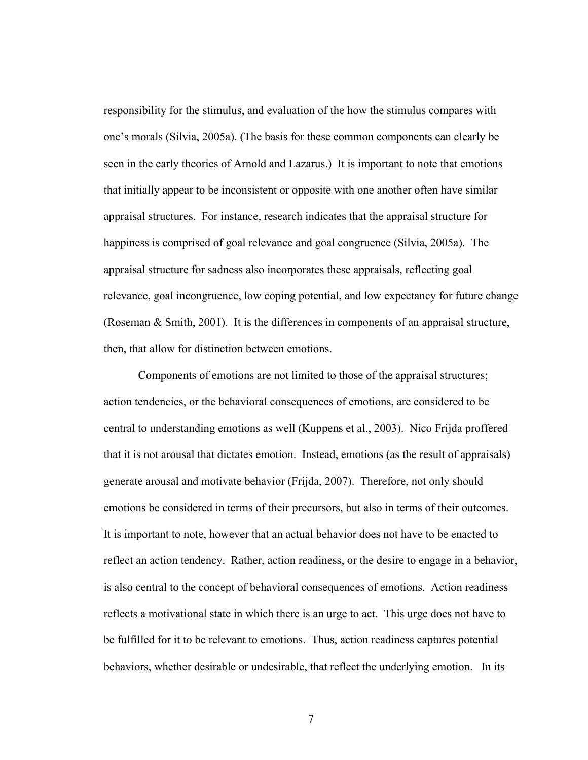responsibility for the stimulus, and evaluation of the how the stimulus compares with one's morals (Silvia, 2005a). (The basis for these common components can clearly be seen in the early theories of Arnold and Lazarus.) It is important to note that emotions that initially appear to be inconsistent or opposite with one another often have similar appraisal structures. For instance, research indicates that the appraisal structure for happiness is comprised of goal relevance and goal congruence (Silvia, 2005a). The appraisal structure for sadness also incorporates these appraisals, reflecting goal relevance, goal incongruence, low coping potential, and low expectancy for future change (Roseman & Smith, 2001). It is the differences in components of an appraisal structure, then, that allow for distinction between emotions.

 Components of emotions are not limited to those of the appraisal structures; action tendencies, or the behavioral consequences of emotions, are considered to be central to understanding emotions as well (Kuppens et al., 2003). Nico Frijda proffered that it is not arousal that dictates emotion. Instead, emotions (as the result of appraisals) generate arousal and motivate behavior (Frijda, 2007). Therefore, not only should emotions be considered in terms of their precursors, but also in terms of their outcomes. It is important to note, however that an actual behavior does not have to be enacted to reflect an action tendency. Rather, action readiness, or the desire to engage in a behavior, is also central to the concept of behavioral consequences of emotions. Action readiness reflects a motivational state in which there is an urge to act. This urge does not have to be fulfilled for it to be relevant to emotions. Thus, action readiness captures potential behaviors, whether desirable or undesirable, that reflect the underlying emotion. In its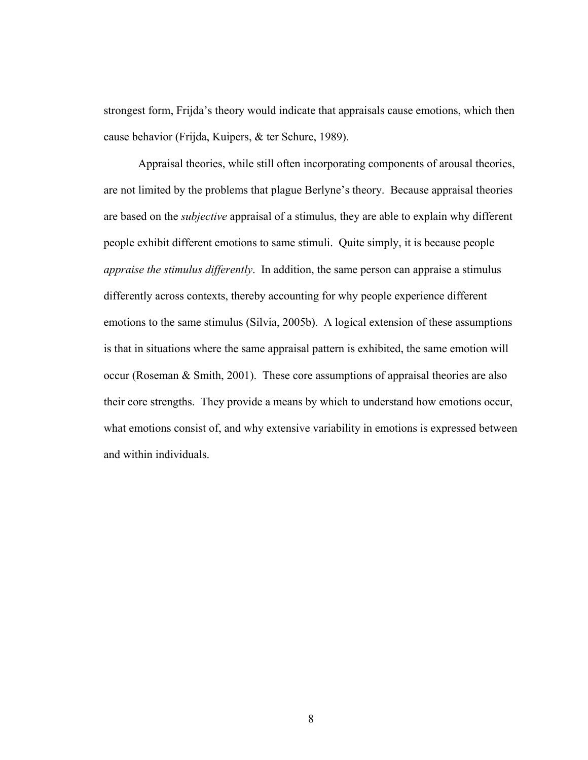strongest form, Frijda's theory would indicate that appraisals cause emotions, which then cause behavior (Frijda, Kuipers, & ter Schure, 1989).

 Appraisal theories, while still often incorporating components of arousal theories, are not limited by the problems that plague Berlyne's theory. Because appraisal theories are based on the *subjective* appraisal of a stimulus, they are able to explain why different people exhibit different emotions to same stimuli. Quite simply, it is because people *appraise the stimulus differently*. In addition, the same person can appraise a stimulus differently across contexts, thereby accounting for why people experience different emotions to the same stimulus (Silvia, 2005b). A logical extension of these assumptions is that in situations where the same appraisal pattern is exhibited, the same emotion will occur (Roseman & Smith, 2001). These core assumptions of appraisal theories are also their core strengths. They provide a means by which to understand how emotions occur, what emotions consist of, and why extensive variability in emotions is expressed between and within individuals.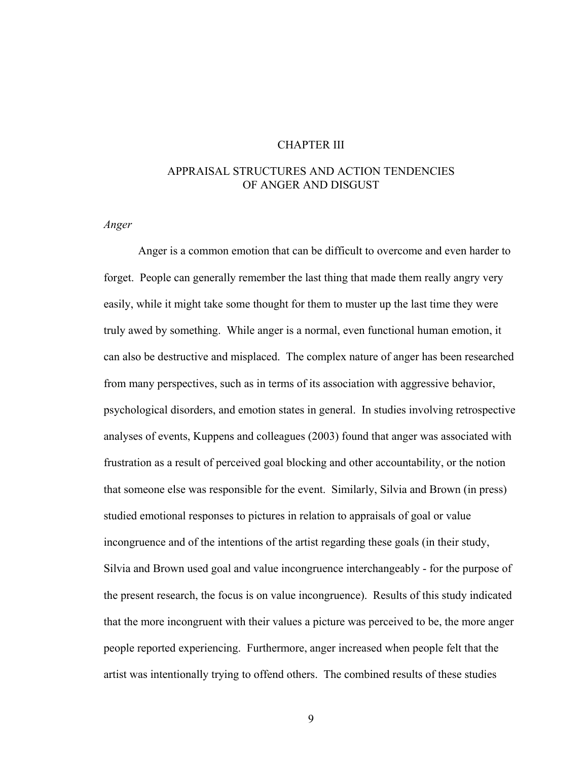### CHAPTER III

## APPRAISAL STRUCTURES AND ACTION TENDENCIES OF ANGER AND DISGUST

*Anger* 

 Anger is a common emotion that can be difficult to overcome and even harder to forget. People can generally remember the last thing that made them really angry very easily, while it might take some thought for them to muster up the last time they were truly awed by something. While anger is a normal, even functional human emotion, it can also be destructive and misplaced. The complex nature of anger has been researched from many perspectives, such as in terms of its association with aggressive behavior, psychological disorders, and emotion states in general. In studies involving retrospective analyses of events, Kuppens and colleagues (2003) found that anger was associated with frustration as a result of perceived goal blocking and other accountability, or the notion that someone else was responsible for the event. Similarly, Silvia and Brown (in press) studied emotional responses to pictures in relation to appraisals of goal or value incongruence and of the intentions of the artist regarding these goals (in their study, Silvia and Brown used goal and value incongruence interchangeably - for the purpose of the present research, the focus is on value incongruence). Results of this study indicated that the more incongruent with their values a picture was perceived to be, the more anger people reported experiencing. Furthermore, anger increased when people felt that the artist was intentionally trying to offend others. The combined results of these studies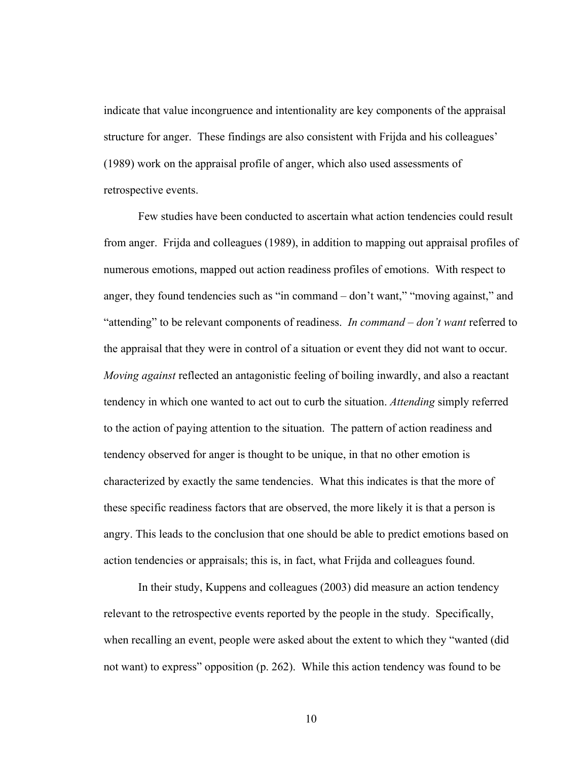indicate that value incongruence and intentionality are key components of the appraisal structure for anger. These findings are also consistent with Frijda and his colleagues' (1989) work on the appraisal profile of anger, which also used assessments of retrospective events.

 Few studies have been conducted to ascertain what action tendencies could result from anger. Frijda and colleagues (1989), in addition to mapping out appraisal profiles of numerous emotions, mapped out action readiness profiles of emotions. With respect to anger, they found tendencies such as "in command – don't want," "moving against," and "attending" to be relevant components of readiness. *In command – don't want* referred to the appraisal that they were in control of a situation or event they did not want to occur. *Moving against* reflected an antagonistic feeling of boiling inwardly, and also a reactant tendency in which one wanted to act out to curb the situation. *Attending* simply referred to the action of paying attention to the situation. The pattern of action readiness and tendency observed for anger is thought to be unique, in that no other emotion is characterized by exactly the same tendencies. What this indicates is that the more of these specific readiness factors that are observed, the more likely it is that a person is angry. This leads to the conclusion that one should be able to predict emotions based on action tendencies or appraisals; this is, in fact, what Frijda and colleagues found.

In their study, Kuppens and colleagues (2003) did measure an action tendency relevant to the retrospective events reported by the people in the study. Specifically, when recalling an event, people were asked about the extent to which they "wanted (did not want) to express" opposition (p. 262). While this action tendency was found to be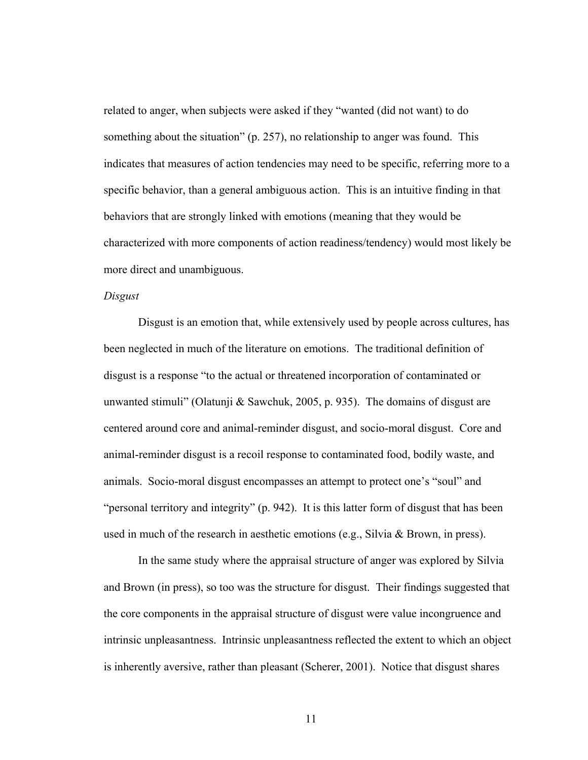related to anger, when subjects were asked if they "wanted (did not want) to do something about the situation" (p. 257), no relationship to anger was found. This indicates that measures of action tendencies may need to be specific, referring more to a specific behavior, than a general ambiguous action. This is an intuitive finding in that behaviors that are strongly linked with emotions (meaning that they would be characterized with more components of action readiness/tendency) would most likely be more direct and unambiguous.

#### *Disgust*

 Disgust is an emotion that, while extensively used by people across cultures, has been neglected in much of the literature on emotions. The traditional definition of disgust is a response "to the actual or threatened incorporation of contaminated or unwanted stimuli" (Olatunji & Sawchuk, 2005, p. 935). The domains of disgust are centered around core and animal-reminder disgust, and socio-moral disgust. Core and animal-reminder disgust is a recoil response to contaminated food, bodily waste, and animals. Socio-moral disgust encompasses an attempt to protect one's "soul" and "personal territory and integrity" (p. 942). It is this latter form of disgust that has been used in much of the research in aesthetic emotions (e.g., Silvia & Brown, in press).

 In the same study where the appraisal structure of anger was explored by Silvia and Brown (in press), so too was the structure for disgust. Their findings suggested that the core components in the appraisal structure of disgust were value incongruence and intrinsic unpleasantness. Intrinsic unpleasantness reflected the extent to which an object is inherently aversive, rather than pleasant (Scherer, 2001). Notice that disgust shares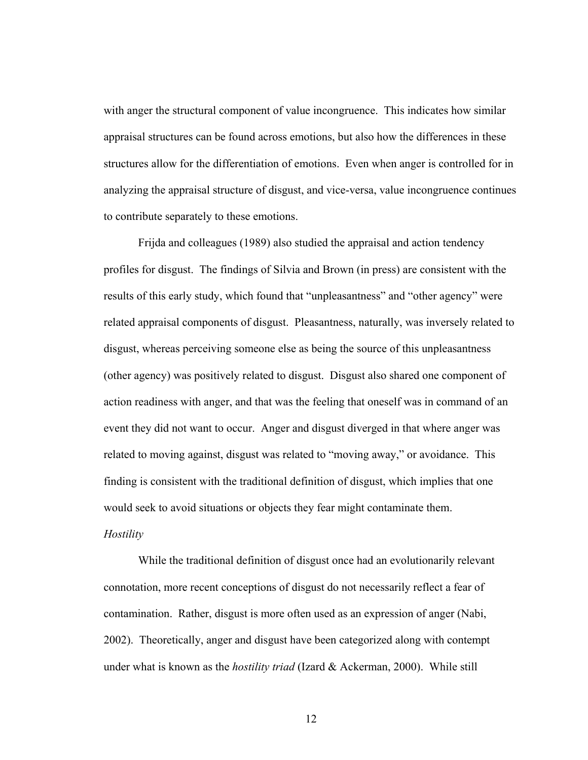with anger the structural component of value incongruence. This indicates how similar appraisal structures can be found across emotions, but also how the differences in these structures allow for the differentiation of emotions. Even when anger is controlled for in analyzing the appraisal structure of disgust, and vice-versa, value incongruence continues to contribute separately to these emotions.

 Frijda and colleagues (1989) also studied the appraisal and action tendency profiles for disgust. The findings of Silvia and Brown (in press) are consistent with the results of this early study, which found that "unpleasantness" and "other agency" were related appraisal components of disgust. Pleasantness, naturally, was inversely related to disgust, whereas perceiving someone else as being the source of this unpleasantness (other agency) was positively related to disgust. Disgust also shared one component of action readiness with anger, and that was the feeling that oneself was in command of an event they did not want to occur. Anger and disgust diverged in that where anger was related to moving against, disgust was related to "moving away," or avoidance. This finding is consistent with the traditional definition of disgust, which implies that one would seek to avoid situations or objects they fear might contaminate them.

# *Hostility*

 While the traditional definition of disgust once had an evolutionarily relevant connotation, more recent conceptions of disgust do not necessarily reflect a fear of contamination. Rather, disgust is more often used as an expression of anger (Nabi, 2002). Theoretically, anger and disgust have been categorized along with contempt under what is known as the *hostility triad* (Izard & Ackerman, 2000). While still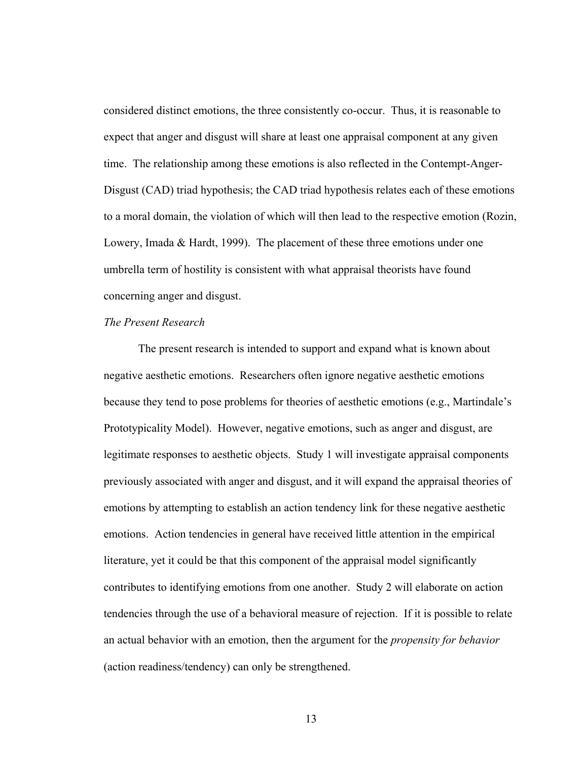considered distinct emotions, the three consistently co-occur. Thus, it is reasonable to expect that anger and disgust will share at least one appraisal component at any given time. The relationship among these emotions is also reflected in the Contempt-Anger-Disgust (CAD) triad hypothesis; the CAD triad hypothesis relates each of these emotions to a moral domain, the violation of which will then lead to the respective emotion (Rozin, Lowery, Imada & Hardt, 1999). The placement of these three emotions under one umbrella term of hostility is consistent with what appraisal theorists have found concerning anger and disgust.

#### *The Present Research*

 The present research is intended to support and expand what is known about negative aesthetic emotions. Researchers often ignore negative aesthetic emotions because they tend to pose problems for theories of aesthetic emotions (e.g., Martindale's Prototypicality Model). However, negative emotions, such as anger and disgust, are legitimate responses to aesthetic objects. Study 1 will investigate appraisal components previously associated with anger and disgust, and it will expand the appraisal theories of emotions by attempting to establish an action tendency link for these negative aesthetic emotions. Action tendencies in general have received little attention in the empirical literature, yet it could be that this component of the appraisal model significantly contributes to identifying emotions from one another. Study 2 will elaborate on action tendencies through the use of a behavioral measure of rejection. If it is possible to relate an actual behavior with an emotion, then the argument for the *propensity for behavior* (action readiness/tendency) can only be strengthened.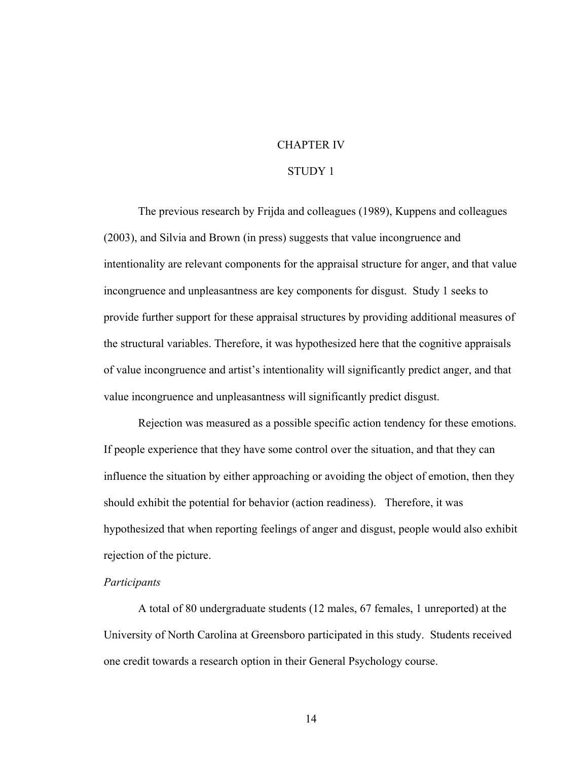#### CHAPTER IV

### STUDY 1

The previous research by Frijda and colleagues (1989), Kuppens and colleagues (2003), and Silvia and Brown (in press) suggests that value incongruence and intentionality are relevant components for the appraisal structure for anger, and that value incongruence and unpleasantness are key components for disgust. Study 1 seeks to provide further support for these appraisal structures by providing additional measures of the structural variables. Therefore, it was hypothesized here that the cognitive appraisals of value incongruence and artist's intentionality will significantly predict anger, and that value incongruence and unpleasantness will significantly predict disgust.

Rejection was measured as a possible specific action tendency for these emotions. If people experience that they have some control over the situation, and that they can influence the situation by either approaching or avoiding the object of emotion, then they should exhibit the potential for behavior (action readiness). Therefore, it was hypothesized that when reporting feelings of anger and disgust, people would also exhibit rejection of the picture.

#### *Participants*

A total of 80 undergraduate students (12 males, 67 females, 1 unreported) at the University of North Carolina at Greensboro participated in this study. Students received one credit towards a research option in their General Psychology course.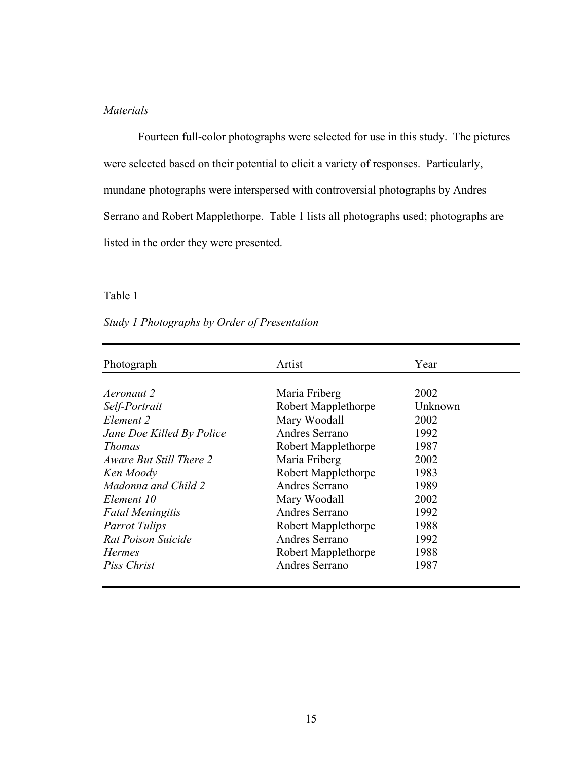## *Materials*

Fourteen full-color photographs were selected for use in this study. The pictures were selected based on their potential to elicit a variety of responses. Particularly, mundane photographs were interspersed with controversial photographs by Andres Serrano and Robert Mapplethorpe. Table 1 lists all photographs used; photographs are listed in the order they were presented.

#### Table 1

# *Study 1 Photographs by Order of Presentation*

| Photograph                | Artist              | Year    |
|---------------------------|---------------------|---------|
|                           |                     |         |
| Aeronaut 2                | Maria Friberg       | 2002    |
| Self-Portrait             | Robert Mapplethorpe | Unknown |
| Element 2                 | Mary Woodall        | 2002    |
| Jane Doe Killed By Police | Andres Serrano      | 1992    |
| <b>Thomas</b>             | Robert Mapplethorpe | 1987    |
| Aware But Still There 2   | Maria Friberg       | 2002    |
| Ken Moody                 | Robert Mapplethorpe | 1983    |
| Madonna and Child 2       | Andres Serrano      | 1989    |
| Element 10                | Mary Woodall        | 2002    |
| <b>Fatal Meningitis</b>   | Andres Serrano      | 1992    |
| <b>Parrot Tulips</b>      | Robert Mapplethorpe | 1988    |
| Rat Poison Suicide        | Andres Serrano      | 1992    |
| <b>Hermes</b>             | Robert Mapplethorpe | 1988    |
| Piss Christ               | Andres Serrano      | 1987    |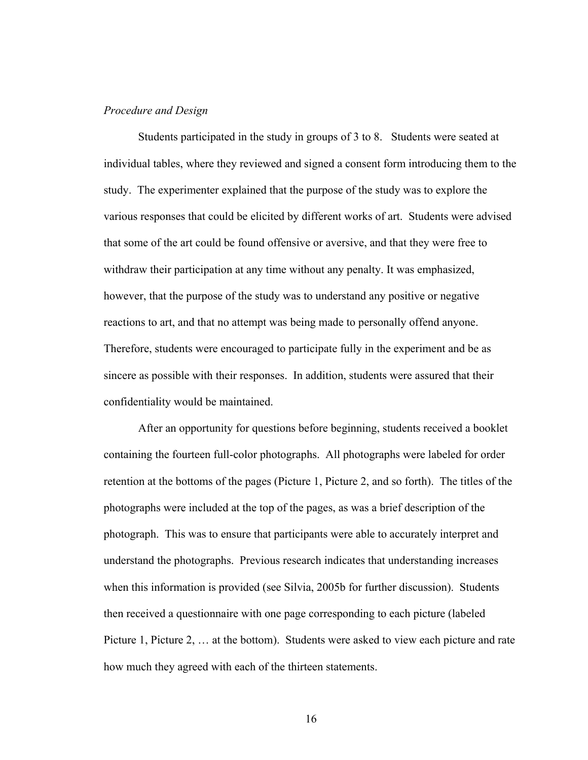#### *Procedure and Design*

Students participated in the study in groups of 3 to 8. Students were seated at individual tables, where they reviewed and signed a consent form introducing them to the study. The experimenter explained that the purpose of the study was to explore the various responses that could be elicited by different works of art. Students were advised that some of the art could be found offensive or aversive, and that they were free to withdraw their participation at any time without any penalty. It was emphasized, however, that the purpose of the study was to understand any positive or negative reactions to art, and that no attempt was being made to personally offend anyone. Therefore, students were encouraged to participate fully in the experiment and be as sincere as possible with their responses. In addition, students were assured that their confidentiality would be maintained.

 After an opportunity for questions before beginning, students received a booklet containing the fourteen full-color photographs. All photographs were labeled for order retention at the bottoms of the pages (Picture 1, Picture 2, and so forth). The titles of the photographs were included at the top of the pages, as was a brief description of the photograph. This was to ensure that participants were able to accurately interpret and understand the photographs. Previous research indicates that understanding increases when this information is provided (see Silvia, 2005b for further discussion). Students then received a questionnaire with one page corresponding to each picture (labeled Picture 1, Picture 2, … at the bottom). Students were asked to view each picture and rate how much they agreed with each of the thirteen statements.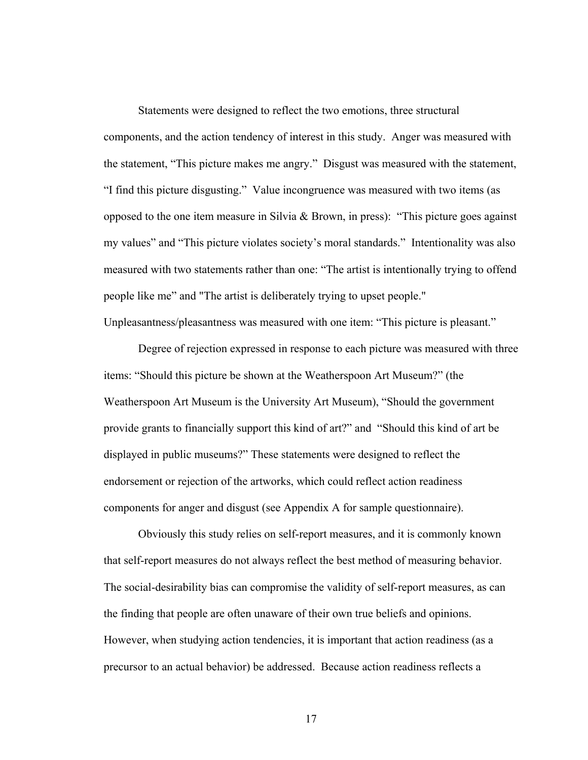Statements were designed to reflect the two emotions, three structural components, and the action tendency of interest in this study. Anger was measured with the statement, "This picture makes me angry." Disgust was measured with the statement, "I find this picture disgusting." Value incongruence was measured with two items (as opposed to the one item measure in Silvia & Brown, in press): "This picture goes against my values" and "This picture violates society's moral standards." Intentionality was also measured with two statements rather than one: "The artist is intentionally trying to offend people like me" and "The artist is deliberately trying to upset people."

Unpleasantness/pleasantness was measured with one item: "This picture is pleasant."

Degree of rejection expressed in response to each picture was measured with three items: "Should this picture be shown at the Weatherspoon Art Museum?" (the Weatherspoon Art Museum is the University Art Museum), "Should the government provide grants to financially support this kind of art?" and "Should this kind of art be displayed in public museums?" These statements were designed to reflect the endorsement or rejection of the artworks, which could reflect action readiness components for anger and disgust (see Appendix A for sample questionnaire).

Obviously this study relies on self-report measures, and it is commonly known that self-report measures do not always reflect the best method of measuring behavior. The social-desirability bias can compromise the validity of self-report measures, as can the finding that people are often unaware of their own true beliefs and opinions. However, when studying action tendencies, it is important that action readiness (as a precursor to an actual behavior) be addressed. Because action readiness reflects a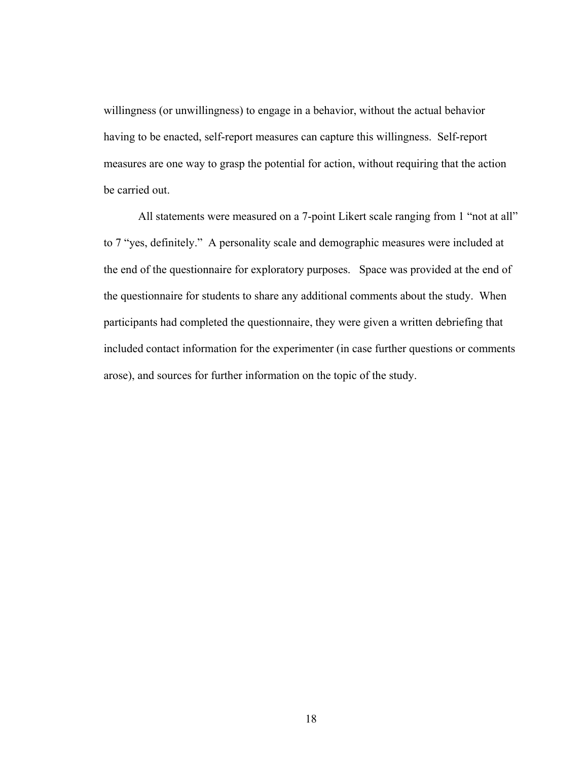willingness (or unwillingness) to engage in a behavior, without the actual behavior having to be enacted, self-report measures can capture this willingness. Self-report measures are one way to grasp the potential for action, without requiring that the action be carried out.

All statements were measured on a 7-point Likert scale ranging from 1 "not at all" to 7 "yes, definitely." A personality scale and demographic measures were included at the end of the questionnaire for exploratory purposes. Space was provided at the end of the questionnaire for students to share any additional comments about the study. When participants had completed the questionnaire, they were given a written debriefing that included contact information for the experimenter (in case further questions or comments arose), and sources for further information on the topic of the study.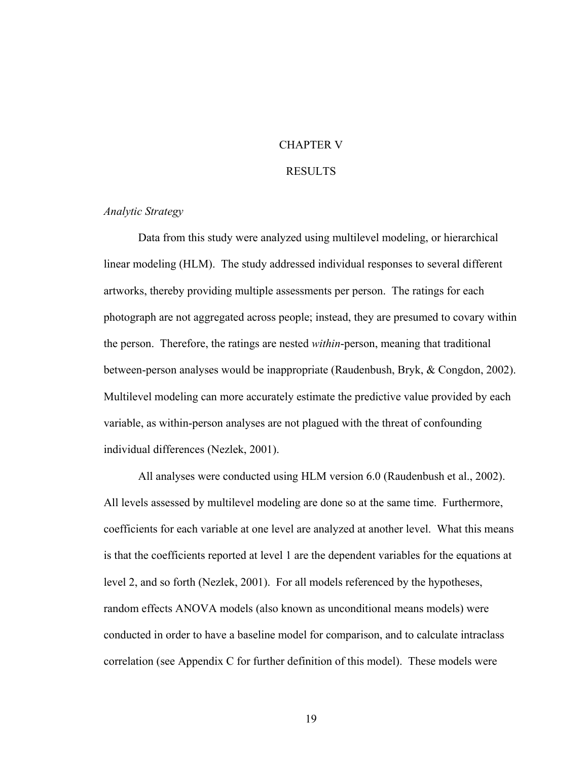### CHAPTER V

#### RESULTS

### *Analytic Strategy*

 Data from this study were analyzed using multilevel modeling, or hierarchical linear modeling (HLM). The study addressed individual responses to several different artworks, thereby providing multiple assessments per person. The ratings for each photograph are not aggregated across people; instead, they are presumed to covary within the person. Therefore, the ratings are nested *within*-person, meaning that traditional between-person analyses would be inappropriate (Raudenbush, Bryk, & Congdon, 2002). Multilevel modeling can more accurately estimate the predictive value provided by each variable, as within-person analyses are not plagued with the threat of confounding individual differences (Nezlek, 2001).

All analyses were conducted using HLM version 6.0 (Raudenbush et al., 2002). All levels assessed by multilevel modeling are done so at the same time. Furthermore, coefficients for each variable at one level are analyzed at another level. What this means is that the coefficients reported at level 1 are the dependent variables for the equations at level 2, and so forth (Nezlek, 2001). For all models referenced by the hypotheses, random effects ANOVA models (also known as unconditional means models) were conducted in order to have a baseline model for comparison, and to calculate intraclass correlation (see Appendix C for further definition of this model). These models were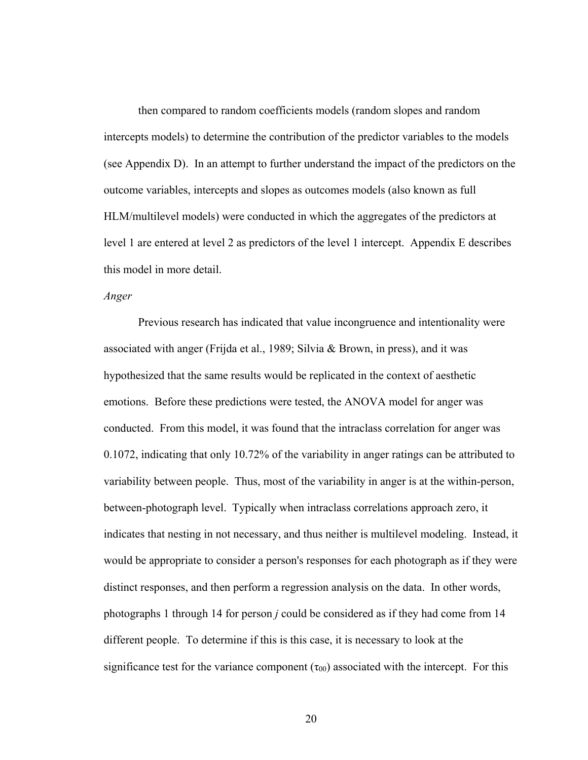then compared to random coefficients models (random slopes and random intercepts models) to determine the contribution of the predictor variables to the models (see Appendix D). In an attempt to further understand the impact of the predictors on the outcome variables, intercepts and slopes as outcomes models (also known as full HLM/multilevel models) were conducted in which the aggregates of the predictors at level 1 are entered at level 2 as predictors of the level 1 intercept. Appendix E describes this model in more detail.

#### *Anger*

Previous research has indicated that value incongruence and intentionality were associated with anger (Frijda et al., 1989; Silvia & Brown, in press), and it was hypothesized that the same results would be replicated in the context of aesthetic emotions. Before these predictions were tested, the ANOVA model for anger was conducted. From this model, it was found that the intraclass correlation for anger was 0.1072, indicating that only 10.72% of the variability in anger ratings can be attributed to variability between people. Thus, most of the variability in anger is at the within-person, between-photograph level. Typically when intraclass correlations approach zero, it indicates that nesting in not necessary, and thus neither is multilevel modeling. Instead, it would be appropriate to consider a person's responses for each photograph as if they were distinct responses, and then perform a regression analysis on the data. In other words, photographs 1 through 14 for person *j* could be considered as if they had come from 14 different people. To determine if this is this case, it is necessary to look at the significance test for the variance component  $(\tau_{00})$  associated with the intercept. For this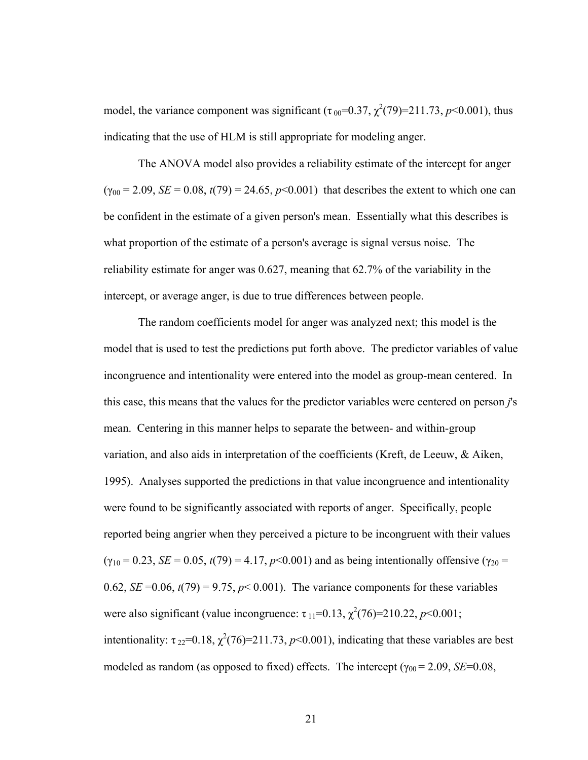model, the variance component was significant  $(\tau_{00} = 0.37, \chi^2(79) = 211.73, p \le 0.001)$ , thus indicating that the use of HLM is still appropriate for modeling anger.

The ANOVA model also provides a reliability estimate of the intercept for anger  $(\gamma_{00} = 2.09, SE = 0.08, t(79) = 24.65, p<0.001)$  that describes the extent to which one can be confident in the estimate of a given person's mean. Essentially what this describes is what proportion of the estimate of a person's average is signal versus noise. The reliability estimate for anger was 0.627, meaning that 62.7% of the variability in the intercept, or average anger, is due to true differences between people.

The random coefficients model for anger was analyzed next; this model is the model that is used to test the predictions put forth above. The predictor variables of value incongruence and intentionality were entered into the model as group-mean centered. In this case, this means that the values for the predictor variables were centered on person *j*'s mean. Centering in this manner helps to separate the between- and within-group variation, and also aids in interpretation of the coefficients (Kreft, de Leeuw, & Aiken, 1995). Analyses supported the predictions in that value incongruence and intentionality were found to be significantly associated with reports of anger. Specifically, people reported being angrier when they perceived a picture to be incongruent with their values  $(\gamma_{10} = 0.23, SE = 0.05, t(79) = 4.17, p<0.001)$  and as being intentionally offensive ( $\gamma_{20}$  = 0.62, *SE* = 0.06,  $t(79)$  = 9.75,  $p$  < 0.001). The variance components for these variables were also significant (value incongruence:  $\tau_{11} = 0.13$ ,  $\chi^2(76) = 210.22$ ,  $p < 0.001$ ; intentionality:  $\tau_{22}$ =0.18,  $\chi^2$ (76)=211.73, *p*<0.001), indicating that these variables are best modeled as random (as opposed to fixed) effects. The intercept ( $\gamma_{00} = 2.09$ , *SE*=0.08,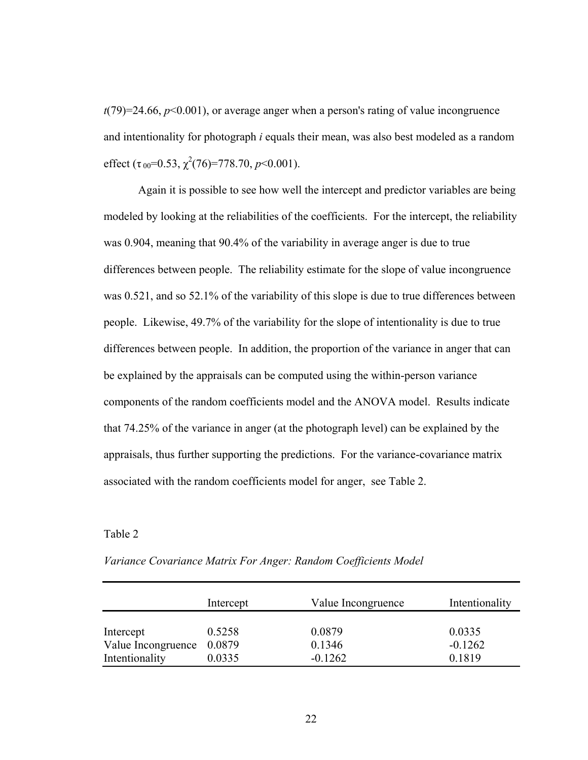$t(79)=24.66, p<0.001$ , or average anger when a person's rating of value incongruence and intentionality for photograph *i* equals their mean, was also best modeled as a random effect ( $\tau_{00}$ =0.53,  $\chi^2$ (76)=778.70, *p*<0.001).

Again it is possible to see how well the intercept and predictor variables are being modeled by looking at the reliabilities of the coefficients. For the intercept, the reliability was 0.904, meaning that 90.4% of the variability in average anger is due to true differences between people. The reliability estimate for the slope of value incongruence was 0.521, and so 52.1% of the variability of this slope is due to true differences between people. Likewise, 49.7% of the variability for the slope of intentionality is due to true differences between people. In addition, the proportion of the variance in anger that can be explained by the appraisals can be computed using the within-person variance components of the random coefficients model and the ANOVA model. Results indicate that 74.25% of the variance in anger (at the photograph level) can be explained by the appraisals, thus further supporting the predictions. For the variance-covariance matrix associated with the random coefficients model for anger, see Table 2.

#### Table 2

|                    | Intercept | Value Incongruence | Intentionality |
|--------------------|-----------|--------------------|----------------|
| Intercept          | 0.5258    | 0.0879             | 0.0335         |
| Value Incongruence | 0.0879    | 0.1346             | $-0.1262$      |
| Intentionality     | 0.0335    | $-0.1262$          | 0.1819         |

*Variance Covariance Matrix For Anger: Random Coefficients Model*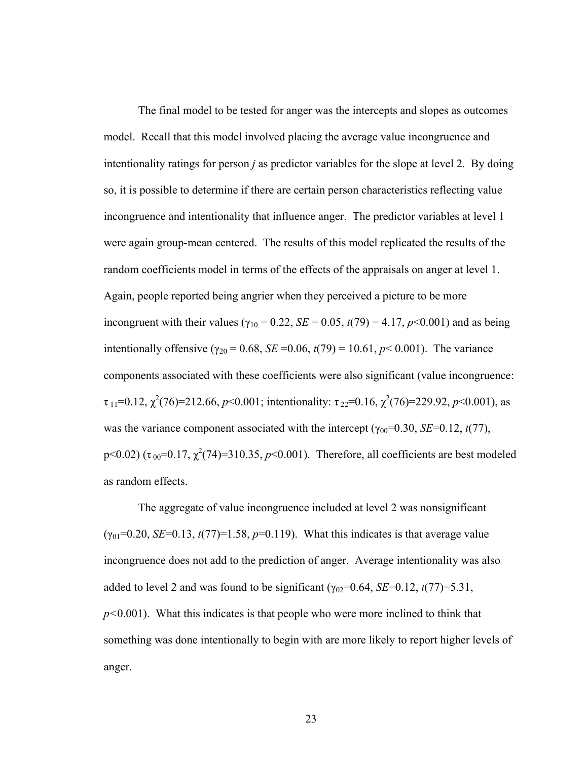The final model to be tested for anger was the intercepts and slopes as outcomes model. Recall that this model involved placing the average value incongruence and intentionality ratings for person *j* as predictor variables for the slope at level 2. By doing so, it is possible to determine if there are certain person characteristics reflecting value incongruence and intentionality that influence anger. The predictor variables at level 1 were again group-mean centered. The results of this model replicated the results of the random coefficients model in terms of the effects of the appraisals on anger at level 1. Again, people reported being angrier when they perceived a picture to be more incongruent with their values ( $\gamma_{10} = 0.22$ , *SE* = 0.05, *t*(79) = 4.17, *p*<0.001) and as being intentionally offensive ( $\gamma_{20} = 0.68$ , *SE* = 0.06,  $t(79) = 10.61$ ,  $p < 0.001$ ). The variance components associated with these coefficients were also significant (value incongruence:  $\tau_{11}$ =0.12,  $\chi^2$ (76)=212.66, *p*<0.001; intentionality:  $\tau_{22}$ =0.16,  $\chi^2$ (76)=229.92, *p*<0.001), as was the variance component associated with the intercept ( $\gamma_{00}$ =0.30, *SE*=0.12, *t*(77), p<0.02) ( $\tau_{00}$ =0.17,  $\chi^2$ (74)=310.35, *p*<0.001). Therefore, all coefficients are best modeled as random effects.

The aggregate of value incongruence included at level 2 was nonsignificant  $(y_{01} = 0.20, SE = 0.13, t(77) = 1.58, p = 0.119)$ . What this indicates is that average value incongruence does not add to the prediction of anger. Average intentionality was also added to level 2 and was found to be significant  $(\gamma_{02}=0.64, SE=0.12, t(77)=5.31,$ *p<*0.001). What this indicates is that people who were more inclined to think that something was done intentionally to begin with are more likely to report higher levels of anger.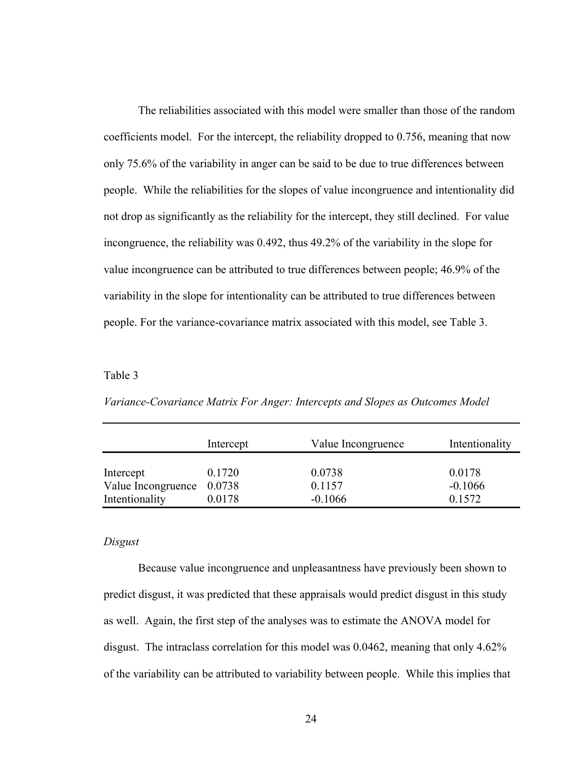The reliabilities associated with this model were smaller than those of the random coefficients model. For the intercept, the reliability dropped to 0.756, meaning that now only 75.6% of the variability in anger can be said to be due to true differences between people. While the reliabilities for the slopes of value incongruence and intentionality did not drop as significantly as the reliability for the intercept, they still declined. For value incongruence, the reliability was 0.492, thus 49.2% of the variability in the slope for value incongruence can be attributed to true differences between people; 46.9% of the variability in the slope for intentionality can be attributed to true differences between people. For the variance-covariance matrix associated with this model, see Table 3.

#### Table 3

|                                             | Intercept | Value Incongruence  | Intentionality      |
|---------------------------------------------|-----------|---------------------|---------------------|
| Intercept                                   | 0.1720    | 0.0738              | 0.0178              |
| Value Incongruence 0.0738<br>Intentionality | 0.0178    | 0.1157<br>$-0.1066$ | $-0.1066$<br>0.1572 |

*Variance-Covariance Matrix For Anger: Intercepts and Slopes as Outcomes Model* 

#### *Disgust*

 Because value incongruence and unpleasantness have previously been shown to predict disgust, it was predicted that these appraisals would predict disgust in this study as well. Again, the first step of the analyses was to estimate the ANOVA model for disgust. The intraclass correlation for this model was 0.0462, meaning that only 4.62% of the variability can be attributed to variability between people. While this implies that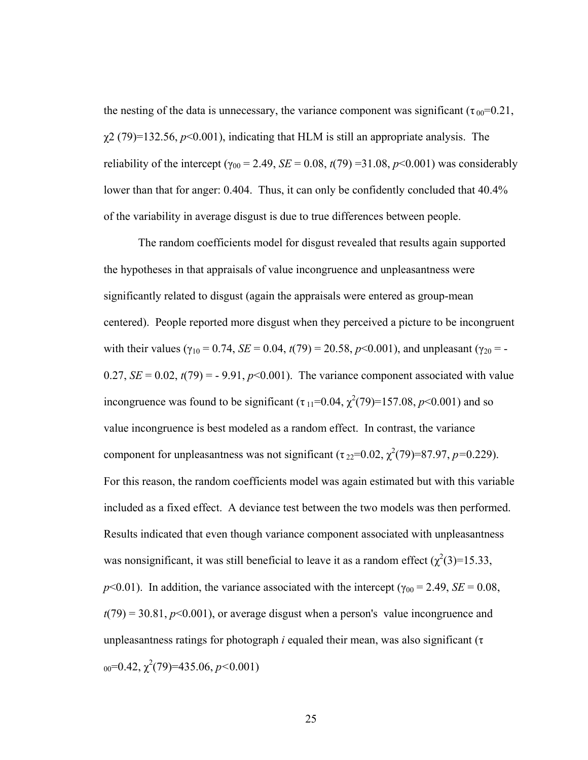the nesting of the data is unnecessary, the variance component was significant ( $\tau_{00}$ =0.21,  $\chi$ 2 (79)=132.56,  $p$ <0.001), indicating that HLM is still an appropriate analysis. The reliability of the intercept ( $\gamma_{00} = 2.49$ , *SE* = 0.08, *t*(79) =31.08, *p*<0.001) was considerably lower than that for anger: 0.404. Thus, it can only be confidently concluded that  $40.4\%$ of the variability in average disgust is due to true differences between people.

The random coefficients model for disgust revealed that results again supported the hypotheses in that appraisals of value incongruence and unpleasantness were significantly related to disgust (again the appraisals were entered as group-mean centered). People reported more disgust when they perceived a picture to be incongruent with their values ( $\gamma_{10} = 0.74$ , *SE* = 0.04, *t*(79) = 20.58, *p*<0.001), and unpleasant ( $\gamma_{20}$  = -0.27,  $SE = 0.02$ ,  $t(79) = -9.91$ ,  $p<0.001$ ). The variance component associated with value incongruence was found to be significant  $(\tau_{11} = 0.04, \chi^2(79) = 157.08, p < 0.001)$  and so value incongruence is best modeled as a random effect. In contrast, the variance component for unpleasantness was not significant  $(\tau_{22}=0.02, \chi^2(79)=87.97, p=0.229)$ . For this reason, the random coefficients model was again estimated but with this variable included as a fixed effect. A deviance test between the two models was then performed. Results indicated that even though variance component associated with unpleasantness was nonsignificant, it was still beneficial to leave it as a random effect  $(\chi^2(3)=15.33,$ *p*<0.01). In addition, the variance associated with the intercept ( $\gamma_{00}$  = 2.49, *SE* = 0.08,  $t(79) = 30.81, p<0.001$ , or average disgust when a person's value incongruence and unpleasantness ratings for photograph *i* equaled their mean, was also significant ( $\tau$ ) 00=0.42, χ 2 (79)=435.06, *p<*0.001)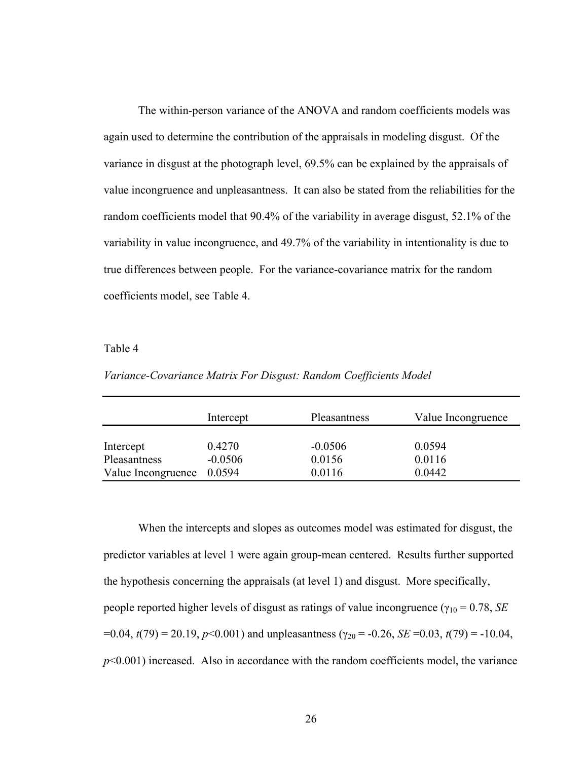The within-person variance of the ANOVA and random coefficients models was again used to determine the contribution of the appraisals in modeling disgust. Of the variance in disgust at the photograph level, 69.5% can be explained by the appraisals of value incongruence and unpleasantness. It can also be stated from the reliabilities for the random coefficients model that 90.4% of the variability in average disgust, 52.1% of the variability in value incongruence, and 49.7% of the variability in intentionality is due to true differences between people. For the variance-covariance matrix for the random coefficients model, see Table 4.

#### Table 4

*Variance-Covariance Matrix For Disgust: Random Coefficients Model* 

|                    | Intercept | Pleasantness | Value Incongruence |
|--------------------|-----------|--------------|--------------------|
| Intercept          | 0.4270    | $-0.0506$    | 0.0594             |
| Pleasantness       | $-0.0506$ | 0.0156       | 0.0116             |
| Value Incongruence | 0.0594    | 0.0116       | 0.0442             |

When the intercepts and slopes as outcomes model was estimated for disgust, the predictor variables at level 1 were again group-mean centered. Results further supported the hypothesis concerning the appraisals (at level 1) and disgust. More specifically, people reported higher levels of disgust as ratings of value incongruence ( $\gamma_{10} = 0.78$ , *SE*  $=0.04$ , *t*(79) = 20.19, *p*<0.001) and unpleasantness (γ<sub>20</sub> = -0.26, *SE* = 0.03, *t*(79) = -10.04, *p*<0.001) increased. Also in accordance with the random coefficients model, the variance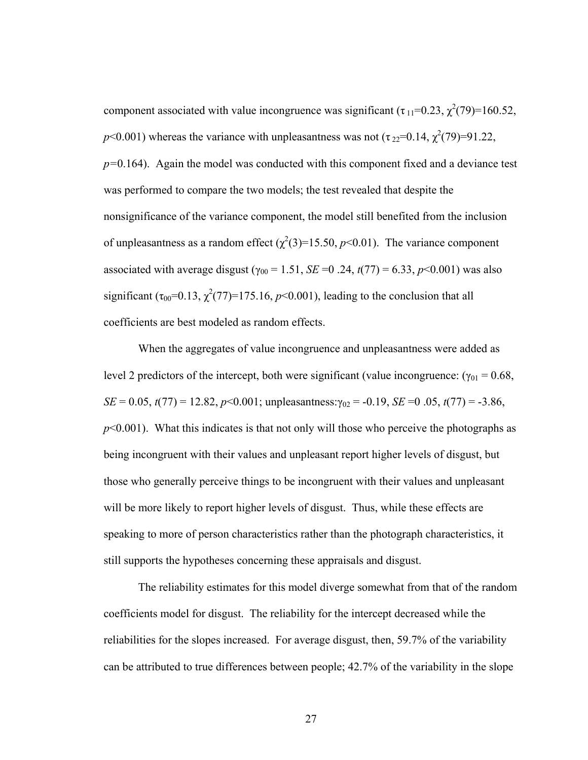component associated with value incongruence was significant  $(\tau_{11} = 0.23, \chi^2(79) = 160.52)$ ,  $p$ <0.001) whereas the variance with unpleasantness was not ( $\tau_{22}$ =0.14,  $\chi^2(79)$ =91.22, *p=*0.164). Again the model was conducted with this component fixed and a deviance test was performed to compare the two models; the test revealed that despite the nonsignificance of the variance component, the model still benefited from the inclusion of unpleasantness as a random effect  $(\chi^2(3)=15.50, p<0.01)$ . The variance component associated with average disgust ( $\gamma_{00}$  = 1.51, *SE* = 0.24,  $t(77)$  = 6.33,  $p$  < 0.001) was also significant  $(\tau_{00} = 0.13, \chi^2(77) = 175.16, p < 0.001)$ , leading to the conclusion that all coefficients are best modeled as random effects.

When the aggregates of value incongruence and unpleasantness were added as level 2 predictors of the intercept, both were significant (value incongruence:  $(\gamma_{01} = 0.68,$ *SE* = 0.05, *t*(77) = 12.82, *p*<0.001; unpleasantness: $\gamma_{02}$  = -0.19, *SE* = 0.05, *t*(77) = -3.86,  $p<0.001$ ). What this indicates is that not only will those who perceive the photographs as being incongruent with their values and unpleasant report higher levels of disgust, but those who generally perceive things to be incongruent with their values and unpleasant will be more likely to report higher levels of disgust. Thus, while these effects are speaking to more of person characteristics rather than the photograph characteristics, it still supports the hypotheses concerning these appraisals and disgust.

The reliability estimates for this model diverge somewhat from that of the random coefficients model for disgust. The reliability for the intercept decreased while the reliabilities for the slopes increased. For average disgust, then, 59.7% of the variability can be attributed to true differences between people; 42.7% of the variability in the slope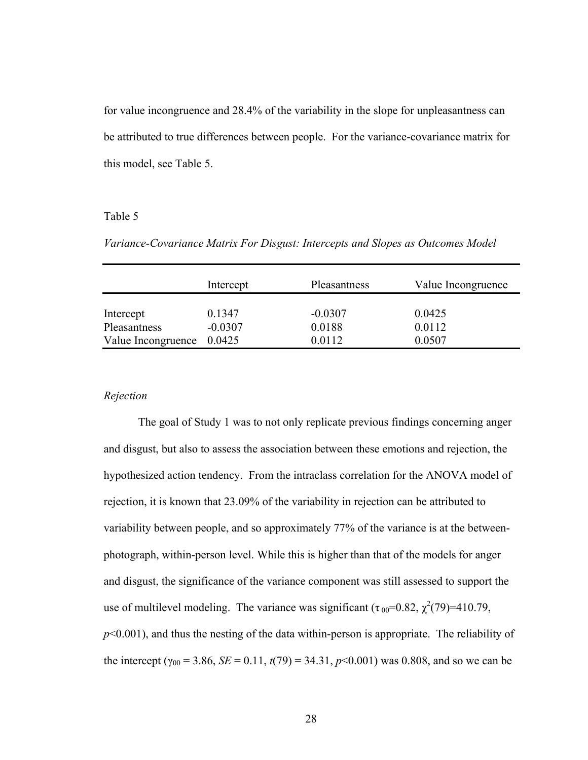for value incongruence and 28.4% of the variability in the slope for unpleasantness can be attributed to true differences between people. For the variance-covariance matrix for this model, see Table 5.

#### Table 5

*Variance-Covariance Matrix For Disgust: Intercepts and Slopes as Outcomes Model* 

|                                                        | Intercept           | Pleasantness                  | Value Incongruence         |
|--------------------------------------------------------|---------------------|-------------------------------|----------------------------|
| Intercept<br>Pleasantness<br>Value Incongruence 0.0425 | 0.1347<br>$-0.0307$ | $-0.0307$<br>0.0188<br>0.0112 | 0.0425<br>0.0112<br>0.0507 |

### *Rejection*

 The goal of Study 1 was to not only replicate previous findings concerning anger and disgust, but also to assess the association between these emotions and rejection, the hypothesized action tendency. From the intraclass correlation for the ANOVA model of rejection, it is known that 23.09% of the variability in rejection can be attributed to variability between people, and so approximately 77% of the variance is at the betweenphotograph, within-person level. While this is higher than that of the models for anger and disgust, the significance of the variance component was still assessed to support the use of multilevel modeling. The variance was significant  $(\tau_{00} = 0.82, \chi^2(79) = 410.79$ , *p*<0.001), and thus the nesting of the data within-person is appropriate. The reliability of the intercept ( $\gamma_{00}$  = 3.86, *SE* = 0.11,  $t(79)$  = 34.31,  $p$ <0.001) was 0.808, and so we can be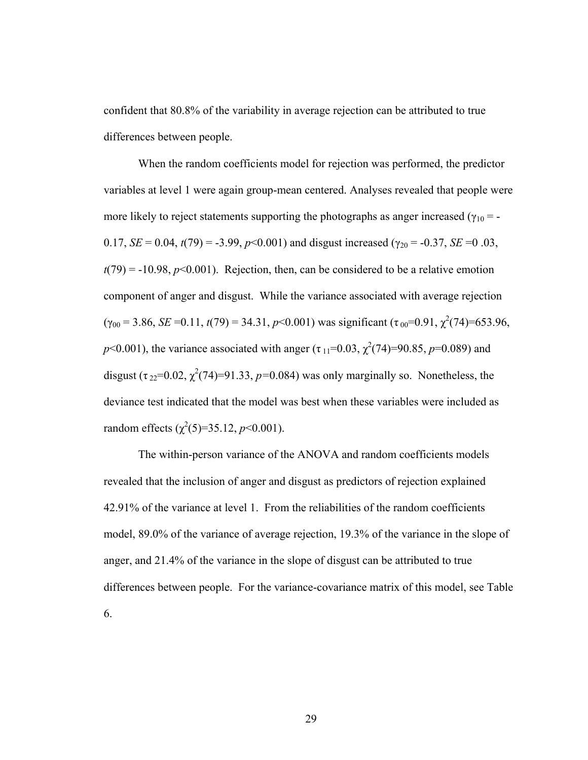confident that 80.8% of the variability in average rejection can be attributed to true differences between people.

 When the random coefficients model for rejection was performed, the predictor variables at level 1 were again group-mean centered. Analyses revealed that people were more likely to reject statements supporting the photographs as anger increased ( $\gamma_{10}$  = -0.17,  $SE = 0.04$ ,  $t(79) = -3.99$ ,  $p<0.001$ ) and disgust increased ( $\gamma_{20} = -0.37$ ,  $SE = 0.03$ ,  $t(79) = -10.98$ ,  $p \le 0.001$ ). Rejection, then, can be considered to be a relative emotion component of anger and disgust. While the variance associated with average rejection  $(\gamma_{00} = 3.86, SE = 0.11, t(79) = 34.31, p < 0.001)$  was significant  $(\tau_{00} = 0.91, \chi^2(74) = 653.96,$ *p*<0.001), the variance associated with anger ( $\tau_{11}$ =0.03,  $\chi^2$ (74)=90.85, *p*=0.089) and disgust  $(\tau_{22}=0.02, \chi^2(74)=91.33, p=0.084)$  was only marginally so. Nonetheless, the deviance test indicated that the model was best when these variables were included as random effects  $(\chi^2(5)=35.12, p<0.001)$ .

 The within-person variance of the ANOVA and random coefficients models revealed that the inclusion of anger and disgust as predictors of rejection explained 42.91% of the variance at level 1. From the reliabilities of the random coefficients model, 89.0% of the variance of average rejection, 19.3% of the variance in the slope of anger, and 21.4% of the variance in the slope of disgust can be attributed to true differences between people. For the variance-covariance matrix of this model, see Table 6.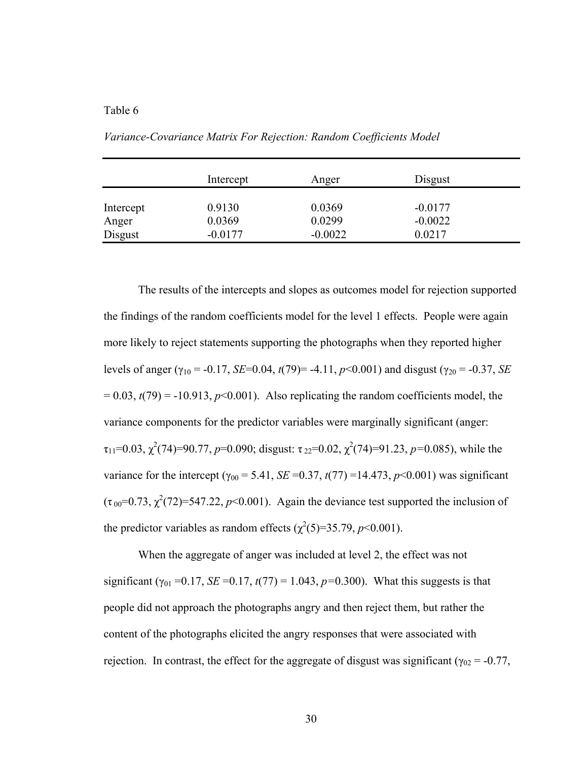## Table 6

|           | Intercept | Anger     | Disgust   |  |
|-----------|-----------|-----------|-----------|--|
| Intercept | 0.9130    | 0.0369    | $-0.0177$ |  |
| Anger     | 0.0369    | 0.0299    | $-0.0022$ |  |
| Disgust   | $-0.0177$ | $-0.0022$ | 0.0217    |  |

*Variance-Covariance Matrix For Rejection: Random Coefficients Model* 

 The results of the intercepts and slopes as outcomes model for rejection supported the findings of the random coefficients model for the level 1 effects. People were again more likely to reject statements supporting the photographs when they reported higher levels of anger ( $\gamma_{10}$  = -0.17, *SE*=0.04, *t*(79)= -4.11, *p*<0.001) and disgust ( $\gamma_{20}$  = -0.37, *SE*  $= 0.03$ ,  $t(79) = -10.913$ ,  $p<0.001$ ). Also replicating the random coefficients model, the variance components for the predictor variables were marginally significant (anger:  $\tau_{11}$ =0.03,  $\chi^2$ (74)=90.77, *p*=0.090; disgust:  $\tau_{22}$ =0.02,  $\chi^2$ (74)=91.23, *p*=0.085), while the variance for the intercept ( $\gamma_{00}$  = 5.41, *SE* = 0.37, *t*(77) = 14.473, *p*<0.001) was significant  $(\tau_{00} = 0.73, \chi^2(72) = 547.22, p < 0.001)$ . Again the deviance test supported the inclusion of the predictor variables as random effects  $(\chi^2(5)=35.79, p<0.001)$ .

 When the aggregate of anger was included at level 2, the effect was not significant ( $\gamma_{01}$  =0.17, *SE* =0.17, *t*(77) = 1.043, *p*=0.300). What this suggests is that people did not approach the photographs angry and then reject them, but rather the content of the photographs elicited the angry responses that were associated with rejection. In contrast, the effect for the aggregate of disgust was significant ( $\gamma_{02}$  = -0.77,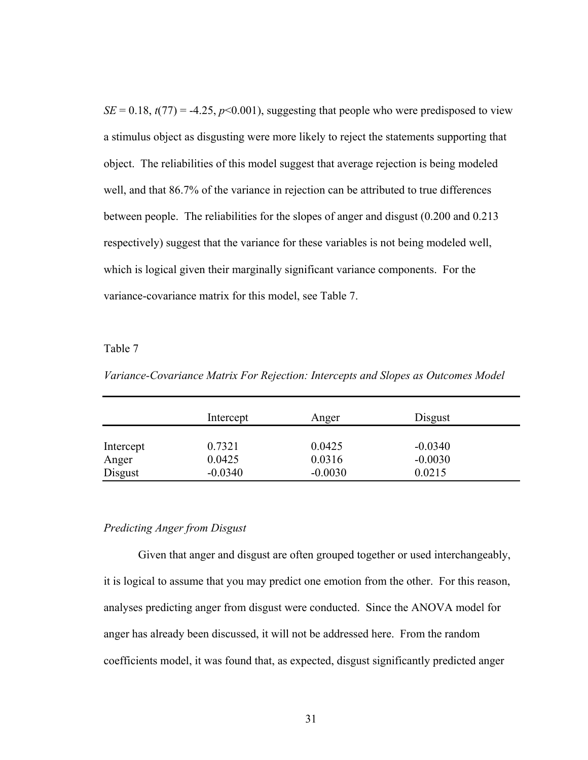$SE = 0.18$ ,  $t(77) = -4.25$ ,  $p<0.001$ ), suggesting that people who were predisposed to view a stimulus object as disgusting were more likely to reject the statements supporting that object. The reliabilities of this model suggest that average rejection is being modeled well, and that 86.7% of the variance in rejection can be attributed to true differences between people. The reliabilities for the slopes of anger and disgust (0.200 and 0.213 respectively) suggest that the variance for these variables is not being modeled well, which is logical given their marginally significant variance components. For the variance-covariance matrix for this model, see Table 7.

### Table 7

*Variance-Covariance Matrix For Rejection: Intercepts and Slopes as Outcomes Model* 

|           | Intercept | Anger     | Disgust   |  |
|-----------|-----------|-----------|-----------|--|
| Intercept | 0.7321    | 0.0425    | $-0.0340$ |  |
| Anger     | 0.0425    | 0.0316    | $-0.0030$ |  |
| Disgust   | $-0.0340$ | $-0.0030$ | 0.0215    |  |

#### *Predicting Anger from Disgust*

 Given that anger and disgust are often grouped together or used interchangeably, it is logical to assume that you may predict one emotion from the other. For this reason, analyses predicting anger from disgust were conducted. Since the ANOVA model for anger has already been discussed, it will not be addressed here. From the random coefficients model, it was found that, as expected, disgust significantly predicted anger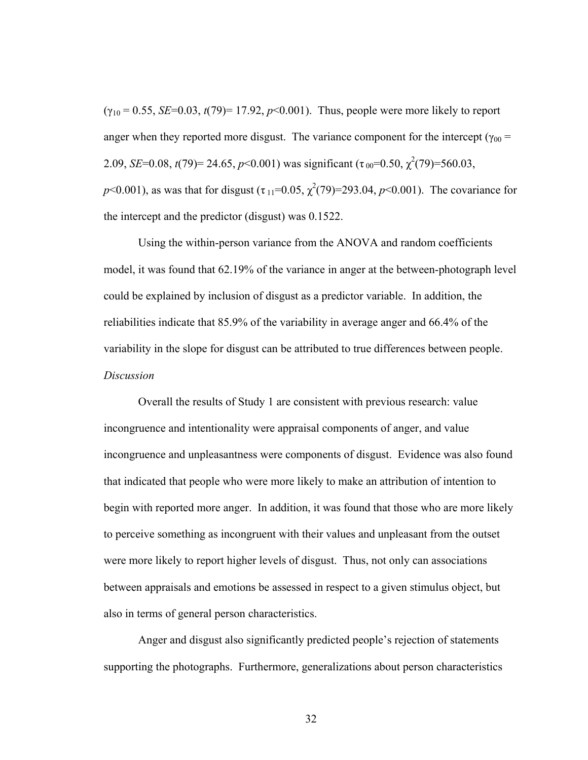$(\gamma_{10} = 0.55, SE=0.03, t(79)=17.92, p<0.001)$ . Thus, people were more likely to report anger when they reported more disgust. The variance component for the intercept ( $\gamma_{00}$  = 2.09, *SE*=0.08, *t*(79)= 24.65, *p*<0.001) was significant ( $\tau_{00}$ =0.50,  $\chi^2$ (79)=560.03, *p*<0.001), as was that for disgust  $(\tau_{11} = 0.05, \chi^2(79) = 293.04, p < 0.001)$ . The covariance for the intercept and the predictor (disgust) was 0.1522.

 Using the within-person variance from the ANOVA and random coefficients model, it was found that 62.19% of the variance in anger at the between-photograph level could be explained by inclusion of disgust as a predictor variable. In addition, the reliabilities indicate that 85.9% of the variability in average anger and 66.4% of the variability in the slope for disgust can be attributed to true differences between people. *Discussion* 

 Overall the results of Study 1 are consistent with previous research: value incongruence and intentionality were appraisal components of anger, and value incongruence and unpleasantness were components of disgust. Evidence was also found that indicated that people who were more likely to make an attribution of intention to begin with reported more anger. In addition, it was found that those who are more likely to perceive something as incongruent with their values and unpleasant from the outset were more likely to report higher levels of disgust. Thus, not only can associations between appraisals and emotions be assessed in respect to a given stimulus object, but also in terms of general person characteristics.

 Anger and disgust also significantly predicted people's rejection of statements supporting the photographs. Furthermore, generalizations about person characteristics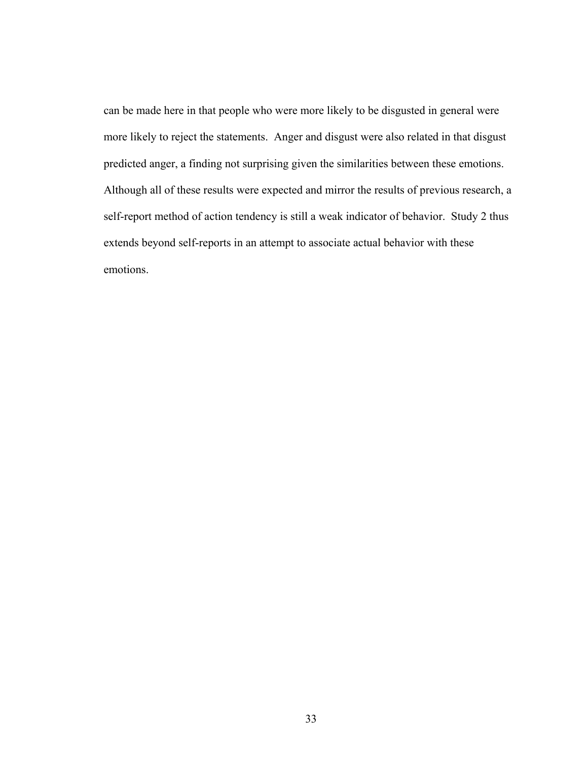can be made here in that people who were more likely to be disgusted in general were more likely to reject the statements. Anger and disgust were also related in that disgust predicted anger, a finding not surprising given the similarities between these emotions. Although all of these results were expected and mirror the results of previous research, a self-report method of action tendency is still a weak indicator of behavior. Study 2 thus extends beyond self-reports in an attempt to associate actual behavior with these emotions.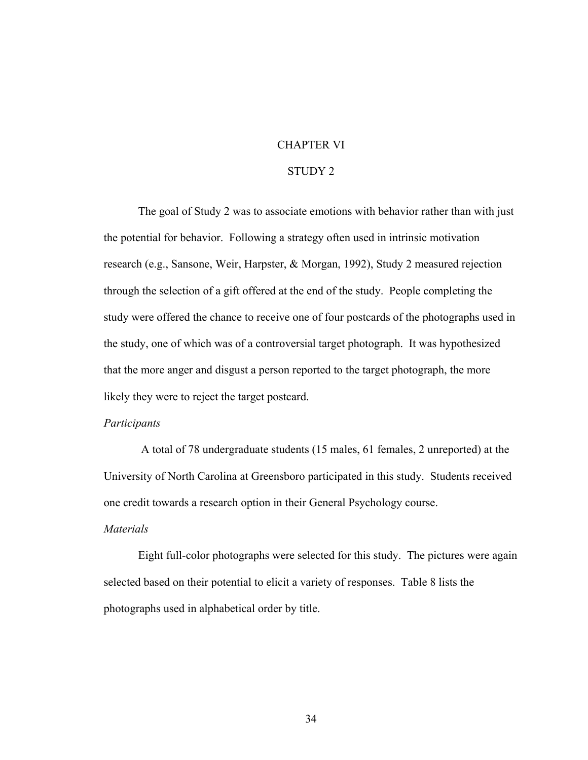# CHAPTER VI

## STUDY 2

 The goal of Study 2 was to associate emotions with behavior rather than with just the potential for behavior. Following a strategy often used in intrinsic motivation research (e.g., Sansone, Weir, Harpster, & Morgan, 1992), Study 2 measured rejection through the selection of a gift offered at the end of the study. People completing the study were offered the chance to receive one of four postcards of the photographs used in the study, one of which was of a controversial target photograph. It was hypothesized that the more anger and disgust a person reported to the target photograph, the more likely they were to reject the target postcard.

#### *Participants*

 A total of 78 undergraduate students (15 males, 61 females, 2 unreported) at the University of North Carolina at Greensboro participated in this study. Students received one credit towards a research option in their General Psychology course.

## *Materials*

 Eight full-color photographs were selected for this study. The pictures were again selected based on their potential to elicit a variety of responses. Table 8 lists the photographs used in alphabetical order by title.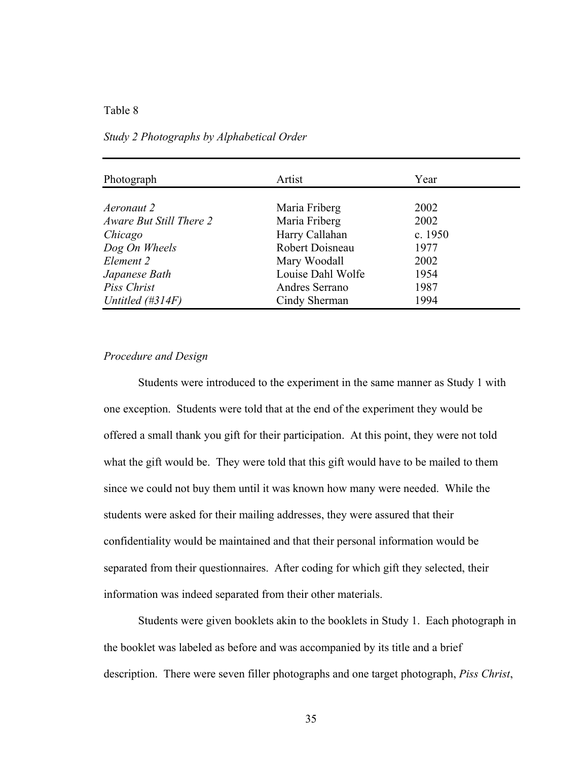#### Table 8

| Photograph              | Artist            | Year      |  |
|-------------------------|-------------------|-----------|--|
|                         |                   |           |  |
| Aeronaut 2              | Maria Friberg     | 2002      |  |
| Aware But Still There 2 | Maria Friberg     | 2002      |  |
| Chicago                 | Harry Callahan    | c. $1950$ |  |
| Dog On Wheels           | Robert Doisneau   | 1977      |  |
| Element 2               | Mary Woodall      | 2002      |  |
| Japanese Bath           | Louise Dahl Wolfe | 1954      |  |
| Piss Christ             | Andres Serrano    | 1987      |  |
| Untitled $(\#314F)$     | Cindy Sherman     | 1994      |  |

#### *Study 2 Photographs by Alphabetical Order*

## *Procedure and Design*

 Students were introduced to the experiment in the same manner as Study 1 with one exception. Students were told that at the end of the experiment they would be offered a small thank you gift for their participation. At this point, they were not told what the gift would be. They were told that this gift would have to be mailed to them since we could not buy them until it was known how many were needed. While the students were asked for their mailing addresses, they were assured that their confidentiality would be maintained and that their personal information would be separated from their questionnaires. After coding for which gift they selected, their information was indeed separated from their other materials.

 Students were given booklets akin to the booklets in Study 1. Each photograph in the booklet was labeled as before and was accompanied by its title and a brief description. There were seven filler photographs and one target photograph, *Piss Christ*,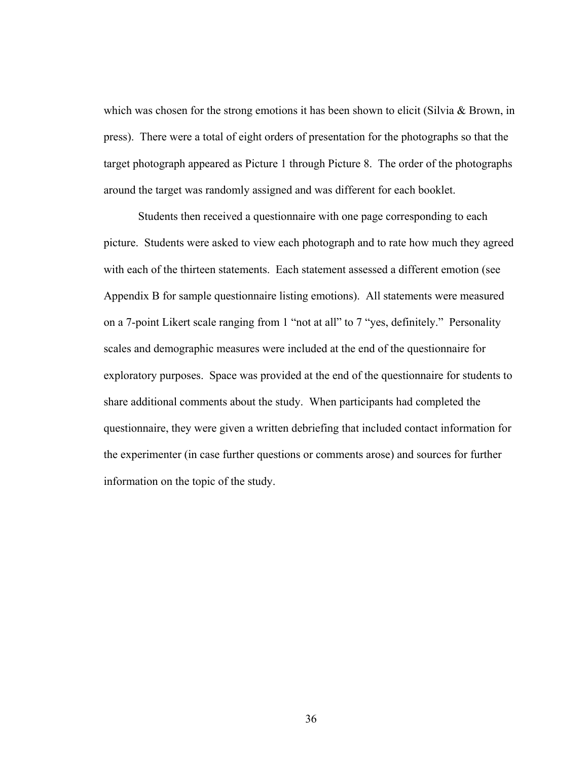which was chosen for the strong emotions it has been shown to elicit (Silvia & Brown, in press). There were a total of eight orders of presentation for the photographs so that the target photograph appeared as Picture 1 through Picture 8. The order of the photographs around the target was randomly assigned and was different for each booklet.

 Students then received a questionnaire with one page corresponding to each picture. Students were asked to view each photograph and to rate how much they agreed with each of the thirteen statements. Each statement assessed a different emotion (see Appendix B for sample questionnaire listing emotions). All statements were measured on a 7-point Likert scale ranging from 1 "not at all" to 7 "yes, definitely." Personality scales and demographic measures were included at the end of the questionnaire for exploratory purposes. Space was provided at the end of the questionnaire for students to share additional comments about the study. When participants had completed the questionnaire, they were given a written debriefing that included contact information for the experimenter (in case further questions or comments arose) and sources for further information on the topic of the study.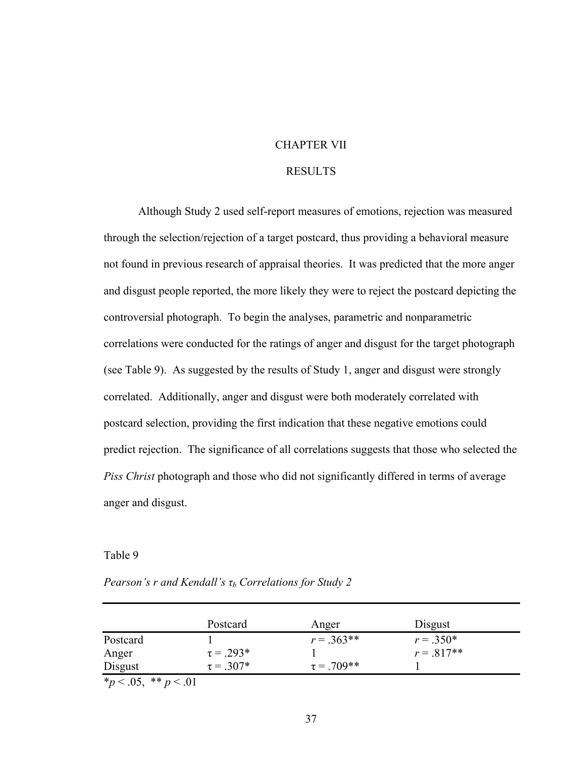## CHAPTER VII

#### RESULTS

 Although Study 2 used self-report measures of emotions, rejection was measured through the selection/rejection of a target postcard, thus providing a behavioral measure not found in previous research of appraisal theories. It was predicted that the more anger and disgust people reported, the more likely they were to reject the postcard depicting the controversial photograph. To begin the analyses, parametric and nonparametric correlations were conducted for the ratings of anger and disgust for the target photograph (see Table 9). As suggested by the results of Study 1, anger and disgust were strongly correlated. Additionally, anger and disgust were both moderately correlated with postcard selection, providing the first indication that these negative emotions could predict rejection. The significance of all correlations suggests that those who selected the *Piss Christ* photograph and those who did not significantly differed in terms of average anger and disgust.

## Table 9

|                             | Postcard       | Anger            | Disgust      |  |
|-----------------------------|----------------|------------------|--------------|--|
| Postcard                    |                | $r = .363**$     | $r = .350*$  |  |
| Anger                       | $\tau = .293*$ |                  | $r = .817**$ |  |
| Disgust                     | $\tau = .307*$ | $\tau = .709$ ** |              |  |
| $*_{n}$ < 0.5 $*_{n}$ < 0.1 |                |                  |              |  |

*Pearson's r and Kendall's τb Correlations for Study 2* 

\**p* < .05, \*\* *p* < .01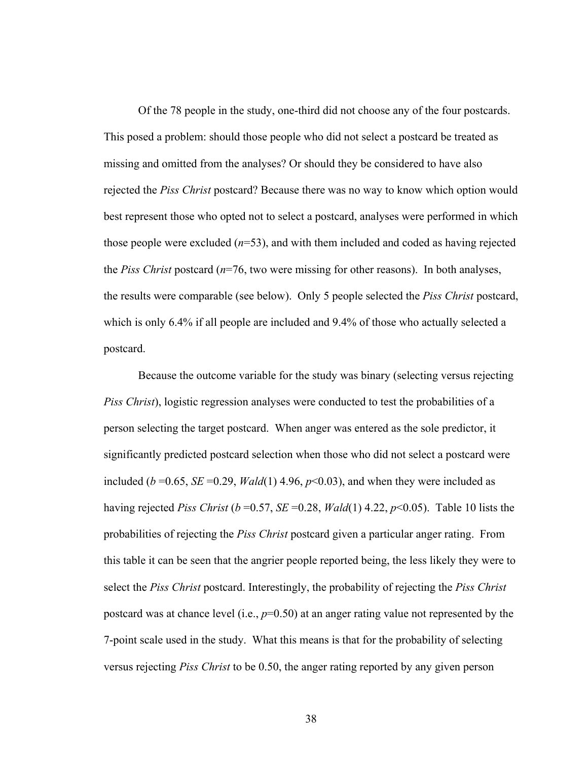Of the 78 people in the study, one-third did not choose any of the four postcards. This posed a problem: should those people who did not select a postcard be treated as missing and omitted from the analyses? Or should they be considered to have also rejected the *Piss Christ* postcard? Because there was no way to know which option would best represent those who opted not to select a postcard, analyses were performed in which those people were excluded (*n*=53), and with them included and coded as having rejected the *Piss Christ* postcard (*n*=76, two were missing for other reasons). In both analyses, the results were comparable (see below). Only 5 people selected the *Piss Christ* postcard, which is only 6.4% if all people are included and 9.4% of those who actually selected a postcard.

Because the outcome variable for the study was binary (selecting versus rejecting *Piss Christ*), logistic regression analyses were conducted to test the probabilities of a person selecting the target postcard. When anger was entered as the sole predictor, it significantly predicted postcard selection when those who did not select a postcard were included ( $b = 0.65$ , *SE* = 0.29, *Wald*(1) 4.96,  $p < 0.03$ ), and when they were included as having rejected *Piss Christ* ( $b = 0.57$ , *SE* = 0.28, *Wald*(1) 4.22,  $p \le 0.05$ ). Table 10 lists the probabilities of rejecting the *Piss Christ* postcard given a particular anger rating. From this table it can be seen that the angrier people reported being, the less likely they were to select the *Piss Christ* postcard. Interestingly, the probability of rejecting the *Piss Christ* postcard was at chance level (i.e., *p*=0.50) at an anger rating value not represented by the 7-point scale used in the study. What this means is that for the probability of selecting versus rejecting *Piss Christ* to be 0.50, the anger rating reported by any given person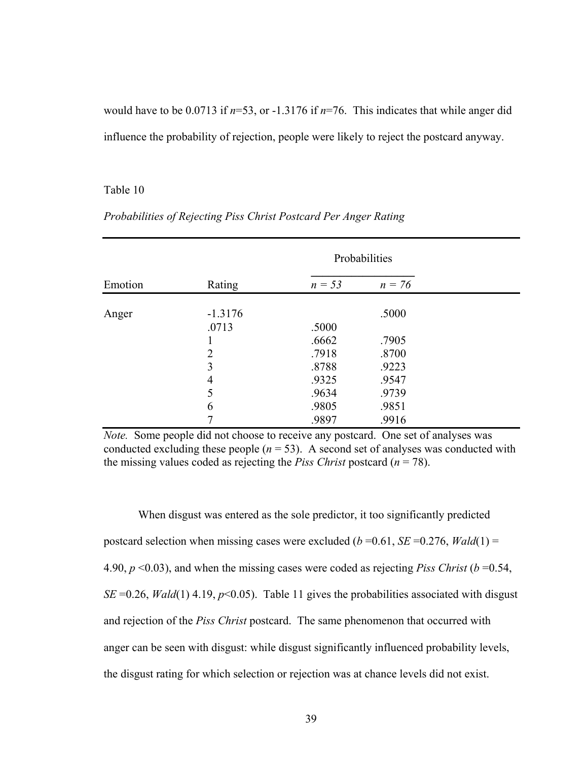would have to be 0.0713 if *n*=53, or -1.3176 if *n*=76. This indicates that while anger did influence the probability of rejection, people were likely to reject the postcard anyway.

#### Table 10

|         |                |                | Probabilities  |  |
|---------|----------------|----------------|----------------|--|
| Emotion | Rating         | $n = 53$       | $n = 76$       |  |
| Anger   | $-1.3176$      |                | .5000          |  |
|         | .0713          | .5000          |                |  |
|         | $\overline{2}$ | .6662<br>.7918 | .7905<br>.8700 |  |
|         | 3              | .8788          | .9223          |  |
|         | 4              | .9325          | .9547          |  |
|         | 5              | .9634          | .9739          |  |
|         | 6              | .9805          | .9851          |  |
|         |                | .9897          | .9916          |  |

## *Probabilities of Rejecting Piss Christ Postcard Per Anger Rating*

*Note.* Some people did not choose to receive any postcard. One set of analyses was conducted excluding these people  $(n = 53)$ . A second set of analyses was conducted with the missing values coded as rejecting the *Piss Christ* postcard  $(n = 78)$ .

When disgust was entered as the sole predictor, it too significantly predicted postcard selection when missing cases were excluded ( $b = 0.61$ , *SE* = 0.276, *Wald*(1) = 4.90, *p* <0.03), and when the missing cases were coded as rejecting *Piss Christ* (*b* =0.54, *SE* = 0.26, *Wald*(1) 4.19,  $p$ <0.05). Table 11 gives the probabilities associated with disgust and rejection of the *Piss Christ* postcard. The same phenomenon that occurred with anger can be seen with disgust: while disgust significantly influenced probability levels, the disgust rating for which selection or rejection was at chance levels did not exist.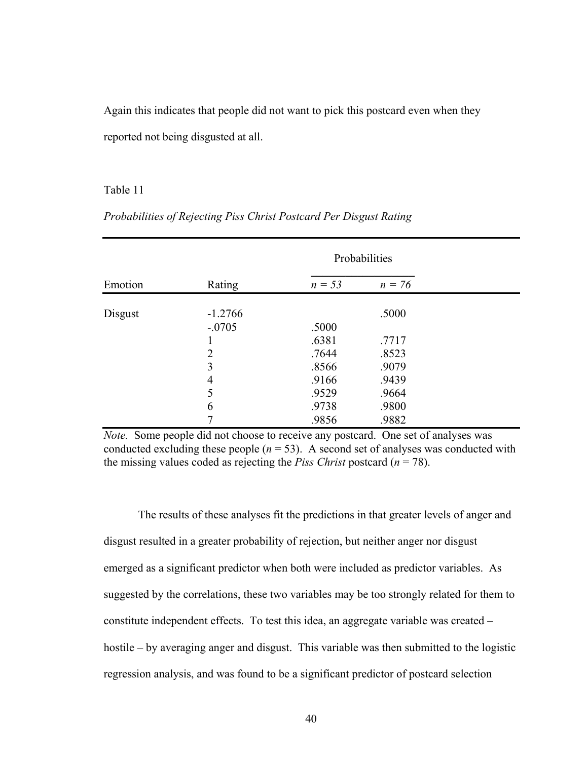Again this indicates that people did not want to pick this postcard even when they reported not being disgusted at all.

#### Table 11

|         |                       |                | Probabilities  |  |
|---------|-----------------------|----------------|----------------|--|
| Emotion | Rating                | $n = 53$       | $n = 76$       |  |
| Disgust | $-1.2766$<br>$-.0705$ |                | .5000          |  |
|         |                       | .5000<br>.6381 | .7717          |  |
|         | 2<br>3                | .7644<br>.8566 | .8523<br>.9079 |  |
|         | 4<br>5                | .9166<br>.9529 | .9439<br>.9664 |  |
|         | 6                     | .9738<br>.9856 | .9800<br>.9882 |  |

# *Probabilities of Rejecting Piss Christ Postcard Per Disgust Rating*

*Note.* Some people did not choose to receive any postcard. One set of analyses was conducted excluding these people  $(n = 53)$ . A second set of analyses was conducted with the missing values coded as rejecting the *Piss Christ* postcard  $(n = 78)$ .

 The results of these analyses fit the predictions in that greater levels of anger and disgust resulted in a greater probability of rejection, but neither anger nor disgust emerged as a significant predictor when both were included as predictor variables. As suggested by the correlations, these two variables may be too strongly related for them to constitute independent effects. To test this idea, an aggregate variable was created – hostile – by averaging anger and disgust. This variable was then submitted to the logistic regression analysis, and was found to be a significant predictor of postcard selection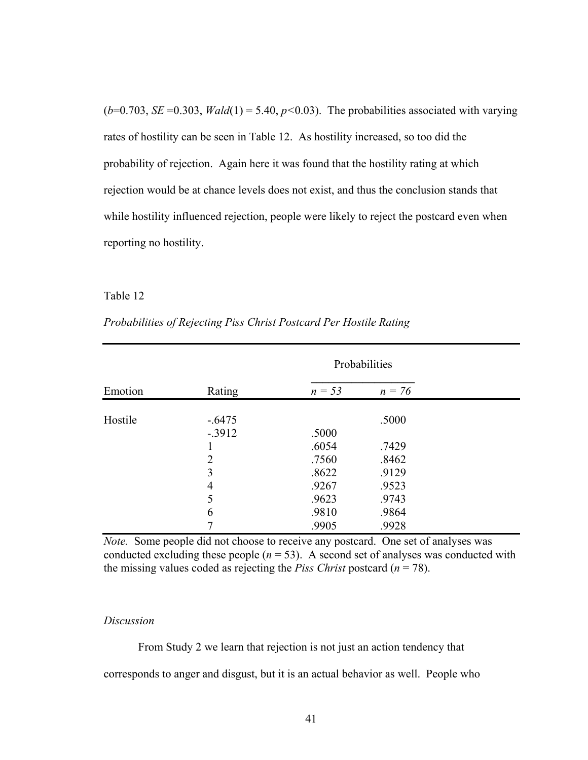$(b=0.703, SE=0.303, Wald(1) = 5.40, p<0.03)$ . The probabilities associated with varying rates of hostility can be seen in Table 12. As hostility increased, so too did the probability of rejection. Again here it was found that the hostility rating at which rejection would be at chance levels does not exist, and thus the conclusion stands that while hostility influenced rejection, people were likely to reject the postcard even when reporting no hostility.

## Table 12

|         |                     |                | Probabilities  |  |
|---------|---------------------|----------------|----------------|--|
| Emotion | Rating              | $n = 53$       | $n = 76$       |  |
| Hostile | $-6475$<br>$-.3912$ | .5000          | .5000          |  |
|         | $\overline{2}$      | .6054<br>.7560 | .7429<br>.8462 |  |
|         | 3                   | .8622          | .9129          |  |
|         | 4<br>5              | .9267<br>.9623 | .9523<br>.9743 |  |
|         | 6                   | .9810<br>.9905 | .9864<br>.9928 |  |

*Probabilities of Rejecting Piss Christ Postcard Per Hostile Rating* 

*Note.* Some people did not choose to receive any postcard. One set of analyses was conducted excluding these people  $(n = 53)$ . A second set of analyses was conducted with the missing values coded as rejecting the *Piss Christ* postcard  $(n = 78)$ .

#### *Discussion*

 From Study 2 we learn that rejection is not just an action tendency that corresponds to anger and disgust, but it is an actual behavior as well. People who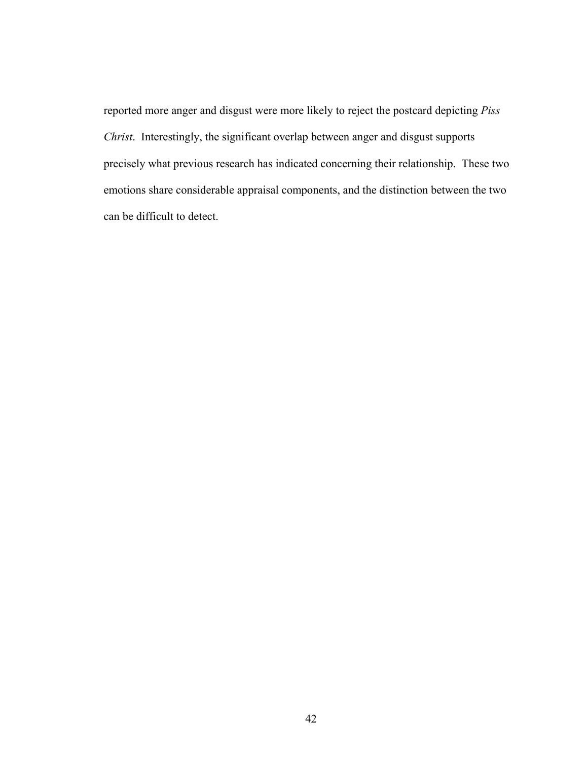reported more anger and disgust were more likely to reject the postcard depicting *Piss Christ*. Interestingly, the significant overlap between anger and disgust supports precisely what previous research has indicated concerning their relationship. These two emotions share considerable appraisal components, and the distinction between the two can be difficult to detect.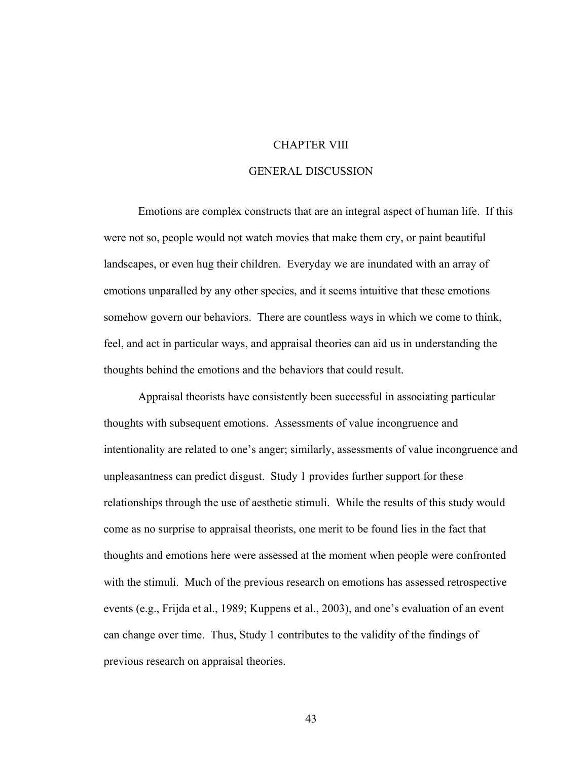#### CHAPTER VIII

## GENERAL DISCUSSION

 Emotions are complex constructs that are an integral aspect of human life. If this were not so, people would not watch movies that make them cry, or paint beautiful landscapes, or even hug their children. Everyday we are inundated with an array of emotions unparalled by any other species, and it seems intuitive that these emotions somehow govern our behaviors. There are countless ways in which we come to think, feel, and act in particular ways, and appraisal theories can aid us in understanding the thoughts behind the emotions and the behaviors that could result.

 Appraisal theorists have consistently been successful in associating particular thoughts with subsequent emotions. Assessments of value incongruence and intentionality are related to one's anger; similarly, assessments of value incongruence and unpleasantness can predict disgust. Study 1 provides further support for these relationships through the use of aesthetic stimuli. While the results of this study would come as no surprise to appraisal theorists, one merit to be found lies in the fact that thoughts and emotions here were assessed at the moment when people were confronted with the stimuli. Much of the previous research on emotions has assessed retrospective events (e.g., Frijda et al., 1989; Kuppens et al., 2003), and one's evaluation of an event can change over time. Thus, Study 1 contributes to the validity of the findings of previous research on appraisal theories.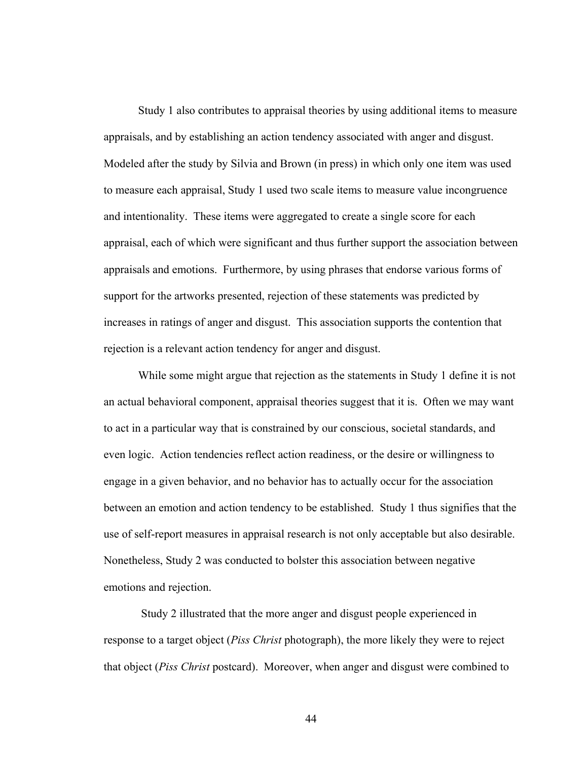Study 1 also contributes to appraisal theories by using additional items to measure appraisals, and by establishing an action tendency associated with anger and disgust. Modeled after the study by Silvia and Brown (in press) in which only one item was used to measure each appraisal, Study 1 used two scale items to measure value incongruence and intentionality. These items were aggregated to create a single score for each appraisal, each of which were significant and thus further support the association between appraisals and emotions. Furthermore, by using phrases that endorse various forms of support for the artworks presented, rejection of these statements was predicted by increases in ratings of anger and disgust. This association supports the contention that rejection is a relevant action tendency for anger and disgust.

While some might argue that rejection as the statements in Study 1 define it is not an actual behavioral component, appraisal theories suggest that it is. Often we may want to act in a particular way that is constrained by our conscious, societal standards, and even logic. Action tendencies reflect action readiness, or the desire or willingness to engage in a given behavior, and no behavior has to actually occur for the association between an emotion and action tendency to be established. Study 1 thus signifies that the use of self-report measures in appraisal research is not only acceptable but also desirable. Nonetheless, Study 2 was conducted to bolster this association between negative emotions and rejection.

 Study 2 illustrated that the more anger and disgust people experienced in response to a target object (*Piss Christ* photograph), the more likely they were to reject that object (*Piss Christ* postcard). Moreover, when anger and disgust were combined to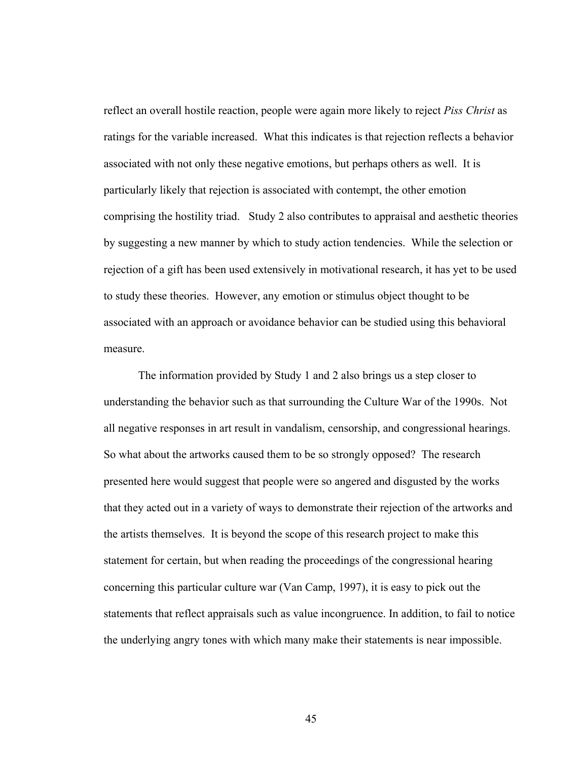reflect an overall hostile reaction, people were again more likely to reject *Piss Christ* as ratings for the variable increased. What this indicates is that rejection reflects a behavior associated with not only these negative emotions, but perhaps others as well. It is particularly likely that rejection is associated with contempt, the other emotion comprising the hostility triad. Study 2 also contributes to appraisal and aesthetic theories by suggesting a new manner by which to study action tendencies. While the selection or rejection of a gift has been used extensively in motivational research, it has yet to be used to study these theories. However, any emotion or stimulus object thought to be associated with an approach or avoidance behavior can be studied using this behavioral measure.

The information provided by Study 1 and 2 also brings us a step closer to understanding the behavior such as that surrounding the Culture War of the 1990s. Not all negative responses in art result in vandalism, censorship, and congressional hearings. So what about the artworks caused them to be so strongly opposed? The research presented here would suggest that people were so angered and disgusted by the works that they acted out in a variety of ways to demonstrate their rejection of the artworks and the artists themselves. It is beyond the scope of this research project to make this statement for certain, but when reading the proceedings of the congressional hearing concerning this particular culture war (Van Camp, 1997), it is easy to pick out the statements that reflect appraisals such as value incongruence. In addition, to fail to notice the underlying angry tones with which many make their statements is near impossible.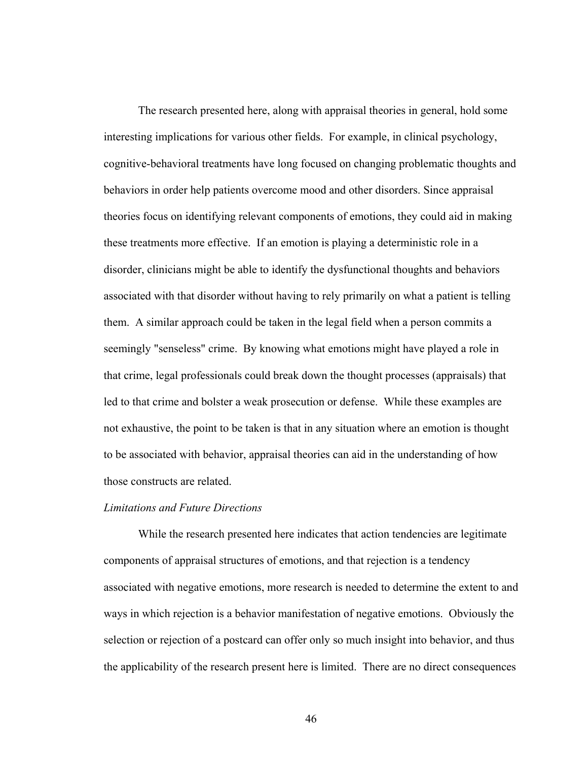The research presented here, along with appraisal theories in general, hold some interesting implications for various other fields. For example, in clinical psychology, cognitive-behavioral treatments have long focused on changing problematic thoughts and behaviors in order help patients overcome mood and other disorders. Since appraisal theories focus on identifying relevant components of emotions, they could aid in making these treatments more effective. If an emotion is playing a deterministic role in a disorder, clinicians might be able to identify the dysfunctional thoughts and behaviors associated with that disorder without having to rely primarily on what a patient is telling them. A similar approach could be taken in the legal field when a person commits a seemingly "senseless" crime. By knowing what emotions might have played a role in that crime, legal professionals could break down the thought processes (appraisals) that led to that crime and bolster a weak prosecution or defense. While these examples are not exhaustive, the point to be taken is that in any situation where an emotion is thought to be associated with behavior, appraisal theories can aid in the understanding of how those constructs are related.

## *Limitations and Future Directions*

 While the research presented here indicates that action tendencies are legitimate components of appraisal structures of emotions, and that rejection is a tendency associated with negative emotions, more research is needed to determine the extent to and ways in which rejection is a behavior manifestation of negative emotions. Obviously the selection or rejection of a postcard can offer only so much insight into behavior, and thus the applicability of the research present here is limited. There are no direct consequences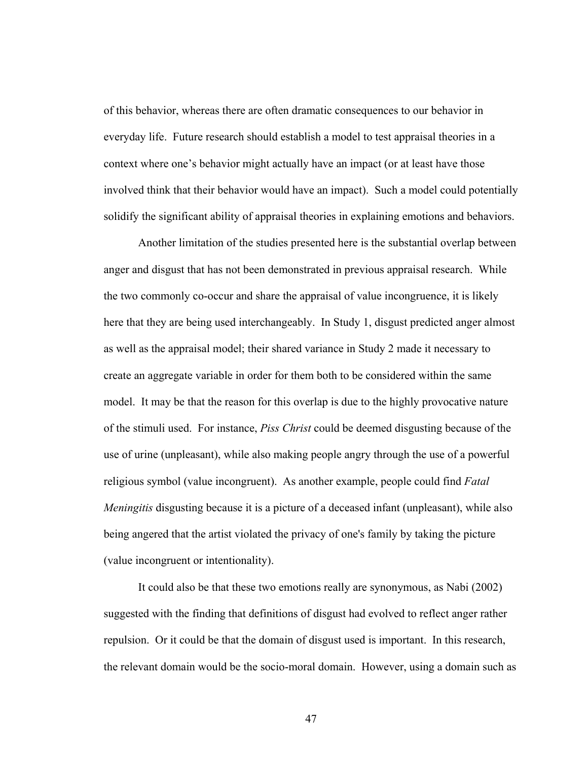of this behavior, whereas there are often dramatic consequences to our behavior in everyday life. Future research should establish a model to test appraisal theories in a context where one's behavior might actually have an impact (or at least have those involved think that their behavior would have an impact). Such a model could potentially solidify the significant ability of appraisal theories in explaining emotions and behaviors.

 Another limitation of the studies presented here is the substantial overlap between anger and disgust that has not been demonstrated in previous appraisal research. While the two commonly co-occur and share the appraisal of value incongruence, it is likely here that they are being used interchangeably. In Study 1, disgust predicted anger almost as well as the appraisal model; their shared variance in Study 2 made it necessary to create an aggregate variable in order for them both to be considered within the same model. It may be that the reason for this overlap is due to the highly provocative nature of the stimuli used. For instance, *Piss Christ* could be deemed disgusting because of the use of urine (unpleasant), while also making people angry through the use of a powerful religious symbol (value incongruent). As another example, people could find *Fatal Meningitis* disgusting because it is a picture of a deceased infant (unpleasant), while also being angered that the artist violated the privacy of one's family by taking the picture (value incongruent or intentionality).

It could also be that these two emotions really are synonymous, as Nabi (2002) suggested with the finding that definitions of disgust had evolved to reflect anger rather repulsion. Or it could be that the domain of disgust used is important. In this research, the relevant domain would be the socio-moral domain. However, using a domain such as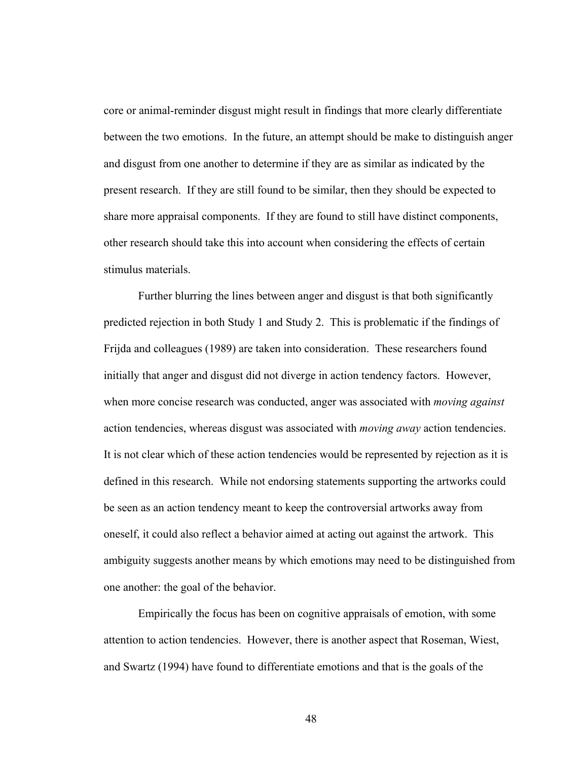core or animal-reminder disgust might result in findings that more clearly differentiate between the two emotions. In the future, an attempt should be make to distinguish anger and disgust from one another to determine if they are as similar as indicated by the present research. If they are still found to be similar, then they should be expected to share more appraisal components. If they are found to still have distinct components, other research should take this into account when considering the effects of certain stimulus materials.

Further blurring the lines between anger and disgust is that both significantly predicted rejection in both Study 1 and Study 2. This is problematic if the findings of Frijda and colleagues (1989) are taken into consideration. These researchers found initially that anger and disgust did not diverge in action tendency factors. However, when more concise research was conducted, anger was associated with *moving against* action tendencies, whereas disgust was associated with *moving away* action tendencies. It is not clear which of these action tendencies would be represented by rejection as it is defined in this research. While not endorsing statements supporting the artworks could be seen as an action tendency meant to keep the controversial artworks away from oneself, it could also reflect a behavior aimed at acting out against the artwork. This ambiguity suggests another means by which emotions may need to be distinguished from one another: the goal of the behavior.

Empirically the focus has been on cognitive appraisals of emotion, with some attention to action tendencies. However, there is another aspect that Roseman, Wiest, and Swartz (1994) have found to differentiate emotions and that is the goals of the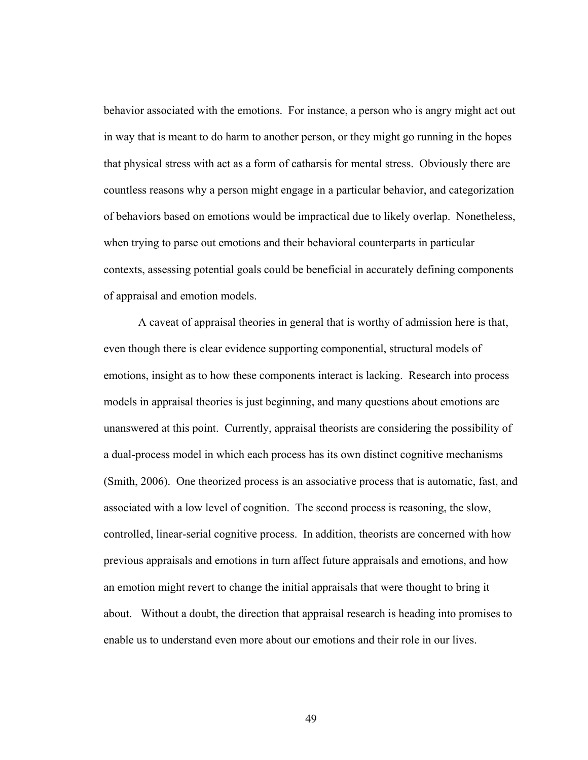behavior associated with the emotions. For instance, a person who is angry might act out in way that is meant to do harm to another person, or they might go running in the hopes that physical stress with act as a form of catharsis for mental stress. Obviously there are countless reasons why a person might engage in a particular behavior, and categorization of behaviors based on emotions would be impractical due to likely overlap. Nonetheless, when trying to parse out emotions and their behavioral counterparts in particular contexts, assessing potential goals could be beneficial in accurately defining components of appraisal and emotion models.

A caveat of appraisal theories in general that is worthy of admission here is that, even though there is clear evidence supporting componential, structural models of emotions, insight as to how these components interact is lacking. Research into process models in appraisal theories is just beginning, and many questions about emotions are unanswered at this point. Currently, appraisal theorists are considering the possibility of a dual-process model in which each process has its own distinct cognitive mechanisms (Smith, 2006). One theorized process is an associative process that is automatic, fast, and associated with a low level of cognition. The second process is reasoning, the slow, controlled, linear-serial cognitive process. In addition, theorists are concerned with how previous appraisals and emotions in turn affect future appraisals and emotions, and how an emotion might revert to change the initial appraisals that were thought to bring it about. Without a doubt, the direction that appraisal research is heading into promises to enable us to understand even more about our emotions and their role in our lives.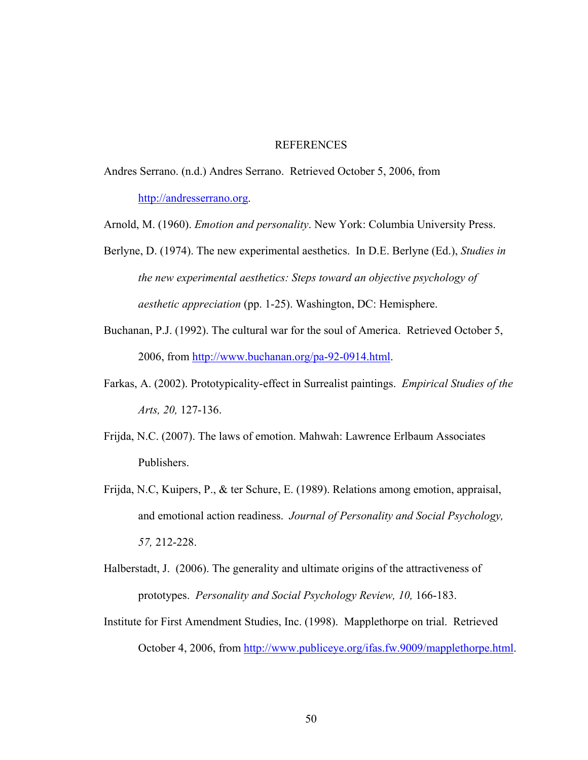#### REFERENCES

Andres Serrano. (n.d.) Andres Serrano. Retrieved October 5, 2006, from [http://andresserrano.org](http://andresserrano.org/).

Arnold, M. (1960). *Emotion and personality*. New York: Columbia University Press.

- Berlyne, D. (1974). The new experimental aesthetics. In D.E. Berlyne (Ed.), *Studies in the new experimental aesthetics: Steps toward an objective psychology of aesthetic appreciation* (pp. 1-25). Washington, DC: Hemisphere.
- Buchanan, P.J. (1992). The cultural war for the soul of America. Retrieved October 5, 2006, from [http://www.buchanan.org/pa-92-0914.html.](http://www.buchanan.org/pa-92-0914.html)
- Farkas, A. (2002). Prototypicality-effect in Surrealist paintings. *Empirical Studies of the Arts, 20,* 127-136.
- Frijda, N.C. (2007). The laws of emotion. Mahwah: Lawrence Erlbaum Associates Publishers.
- Frijda, N.C, Kuipers, P., & ter Schure, E. (1989). Relations among emotion, appraisal, and emotional action readiness. *Journal of Personality and Social Psychology, 57,* 212-228.
- Halberstadt, J. (2006). The generality and ultimate origins of the attractiveness of prototypes. *Personality and Social Psychology Review, 10,* 166-183.
- Institute for First Amendment Studies, Inc. (1998). Mapplethorpe on trial. Retrieved October 4, 2006, from [http://www.publiceye.org/ifas.fw.9009/mapplethorpe.html.](http://www.publiceye.org/ifas.fw.9009/mapplethorpe.html)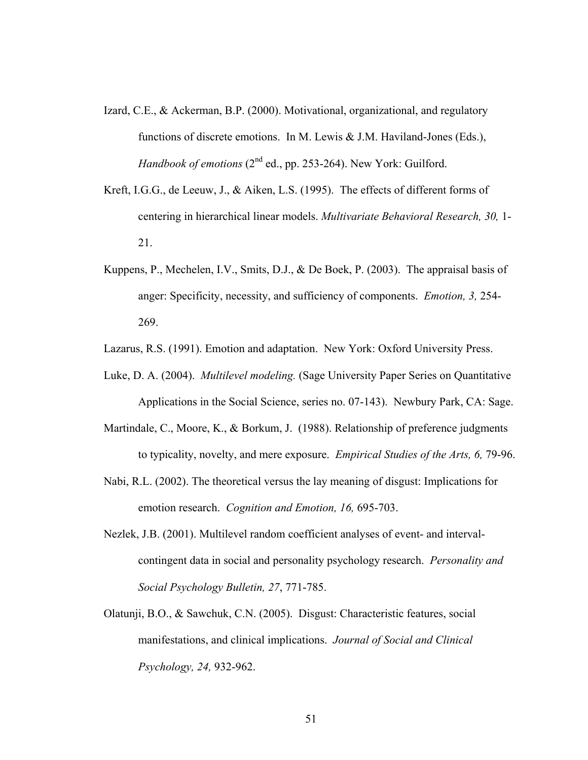- Izard, C.E., & Ackerman, B.P. (2000). Motivational, organizational, and regulatory functions of discrete emotions. In M. Lewis & J.M. Haviland-Jones (Eds.), *Handbook of emotions* (2<sup>nd</sup> ed., pp. 253-264). New York: Guilford.
- Kreft, I.G.G., de Leeuw, J., & Aiken, L.S. (1995). The effects of different forms of centering in hierarchical linear models. *Multivariate Behavioral Research, 30,* 1- 21.
- Kuppens, P., Mechelen, I.V., Smits, D.J., & De Boek, P. (2003). The appraisal basis of anger: Specificity, necessity, and sufficiency of components. *Emotion, 3,* 254- 269.

Lazarus, R.S. (1991). Emotion and adaptation. New York: Oxford University Press.

- Luke, D. A. (2004). *Multilevel modeling.* (Sage University Paper Series on Quantitative Applications in the Social Science, series no. 07-143). Newbury Park, CA: Sage.
- Martindale, C., Moore, K., & Borkum, J. (1988). Relationship of preference judgments to typicality, novelty, and mere exposure. *Empirical Studies of the Arts, 6,* 79-96.
- Nabi, R.L. (2002). The theoretical versus the lay meaning of disgust: Implications for emotion research. *Cognition and Emotion, 16,* 695-703.
- Nezlek, J.B. (2001). Multilevel random coefficient analyses of event- and intervalcontingent data in social and personality psychology research. *Personality and Social Psychology Bulletin, 27*, 771-785.
- Olatunji, B.O., & Sawchuk, C.N. (2005). Disgust: Characteristic features, social manifestations, and clinical implications. *Journal of Social and Clinical Psychology, 24,* 932-962.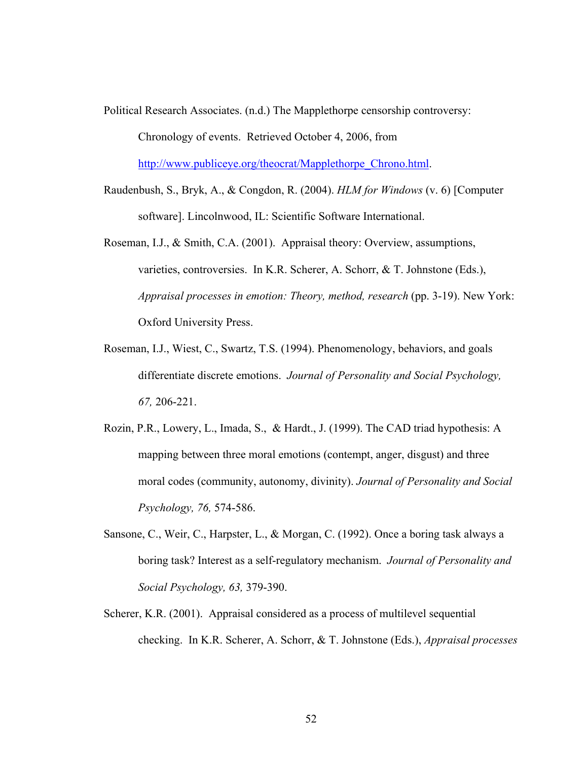Political Research Associates. (n.d.) The Mapplethorpe censorship controversy: Chronology of events. Retrieved October 4, 2006, from

[http://www.publiceye.org/theocrat/Mapplethorpe\\_Chrono.html.](http://www.publiceye.org/theocrat/Mapplethorpe_Chrono.html)

- Raudenbush, S., Bryk, A., & Congdon, R. (2004). *HLM for Windows* (v. 6) [Computer software]. Lincolnwood, IL: Scientific Software International.
- Roseman, I.J., & Smith, C.A. (2001). Appraisal theory: Overview, assumptions, varieties, controversies. In K.R. Scherer, A. Schorr, & T. Johnstone (Eds.), *Appraisal processes in emotion: Theory, method, research* (pp. 3-19). New York: Oxford University Press.
- Roseman, I.J., Wiest, C., Swartz, T.S. (1994). Phenomenology, behaviors, and goals differentiate discrete emotions. *Journal of Personality and Social Psychology, 67,* 206-221.
- Rozin, P.R., Lowery, L., Imada, S., & Hardt., J. (1999). The CAD triad hypothesis: A mapping between three moral emotions (contempt, anger, disgust) and three moral codes (community, autonomy, divinity). *Journal of Personality and Social Psychology, 76,* 574-586.
- Sansone, C., Weir, C., Harpster, L., & Morgan, C. (1992). Once a boring task always a boring task? Interest as a self-regulatory mechanism. *Journal of Personality and Social Psychology, 63,* 379-390.
- Scherer, K.R. (2001). Appraisal considered as a process of multilevel sequential checking. In K.R. Scherer, A. Schorr, & T. Johnstone (Eds.), *Appraisal processes*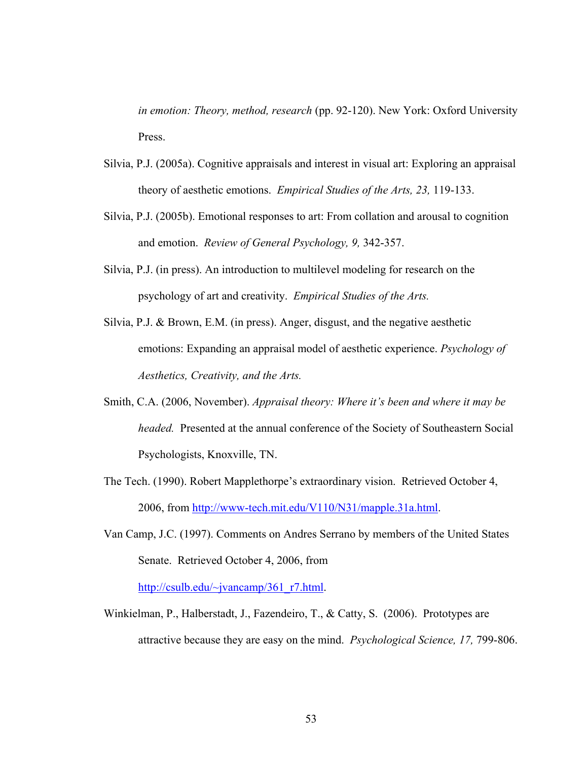*in emotion: Theory, method, research* (pp. 92-120). New York: Oxford University Press.

- Silvia, P.J. (2005a). Cognitive appraisals and interest in visual art: Exploring an appraisal theory of aesthetic emotions. *Empirical Studies of the Arts, 23,* 119-133.
- Silvia, P.J. (2005b). Emotional responses to art: From collation and arousal to cognition and emotion. *Review of General Psychology, 9,* 342-357.
- Silvia, P.J. (in press). An introduction to multilevel modeling for research on the psychology of art and creativity. *Empirical Studies of the Arts.*
- Silvia, P.J. & Brown, E.M. (in press). Anger, disgust, and the negative aesthetic emotions: Expanding an appraisal model of aesthetic experience. *Psychology of Aesthetics, Creativity, and the Arts.*
- Smith, C.A. (2006, November). *Appraisal theory: Where it's been and where it may be headed.* Presented at the annual conference of the Society of Southeastern Social Psychologists, Knoxville, TN.
- The Tech. (1990). Robert Mapplethorpe's extraordinary vision. Retrieved October 4, 2006, from<http://www-tech.mit.edu/V110/N31/mapple.31a.html>.
- Van Camp, J.C. (1997). Comments on Andres Serrano by members of the United States Senate. Retrieved October 4, 2006, from [http://csulb.edu/~jvancamp/361\\_r7.html](http://csulb.edu/%7Ejvancamp/361_r7.html).
- Winkielman, P., Halberstadt, J., Fazendeiro, T., & Catty, S. (2006). Prototypes are attractive because they are easy on the mind. *Psychological Science, 17,* 799-806.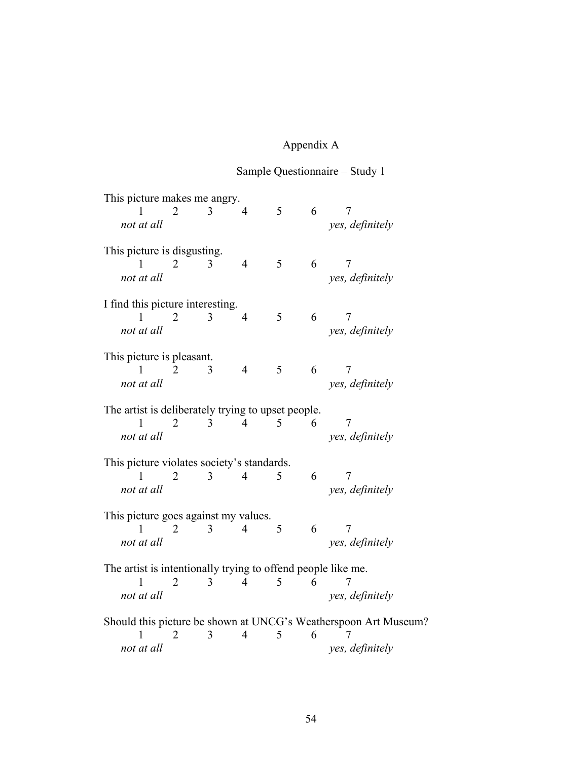# Appendix A

# Sample Questionnaire – Study 1

| This picture makes me angry.                                      |   |   |                |   |   |                                                                 |
|-------------------------------------------------------------------|---|---|----------------|---|---|-----------------------------------------------------------------|
|                                                                   |   | 3 | 4              | 5 | 6 | 7                                                               |
| not at all                                                        |   |   |                |   |   | yes, definitely                                                 |
|                                                                   |   |   |                |   |   |                                                                 |
| This picture is disgusting.                                       |   |   |                |   |   |                                                                 |
|                                                                   | 2 | 3 | $\overline{4}$ | 5 | 6 | 7                                                               |
| not at all                                                        |   |   |                |   |   |                                                                 |
|                                                                   |   |   |                |   |   | yes, definitely                                                 |
| I find this picture interesting.                                  |   |   |                |   |   |                                                                 |
|                                                                   |   |   | 4              | 5 | 6 | 7                                                               |
|                                                                   | 2 | 3 |                |   |   |                                                                 |
| not at all                                                        |   |   |                |   |   | yes, definitely                                                 |
| This picture is pleasant.                                         |   |   |                |   |   |                                                                 |
| 1                                                                 | 2 | 3 | $\overline{4}$ | 5 | 6 | 7                                                               |
|                                                                   |   |   |                |   |   |                                                                 |
| not at all                                                        |   |   |                |   |   | yes, definitely                                                 |
| The artist is deliberately trying to upset people.                |   |   |                |   |   |                                                                 |
|                                                                   | 2 | 3 | 4              | 5 |   | 7                                                               |
|                                                                   |   |   |                |   | 6 |                                                                 |
| not at all                                                        |   |   |                |   |   | yes, definitely                                                 |
| This picture violates society's standards.                        |   |   |                |   |   |                                                                 |
| 1                                                                 |   |   | 4              | 5 | 6 | 7                                                               |
|                                                                   | 2 | 3 |                |   |   |                                                                 |
| not at all                                                        |   |   |                |   |   | yes, definitely                                                 |
|                                                                   |   |   |                |   |   |                                                                 |
| This picture goes against my values.                              |   |   |                |   |   |                                                                 |
| L                                                                 | 2 | 3 | 4              | 5 | 6 | 7                                                               |
| not at all                                                        |   |   |                |   |   | yes, definitely                                                 |
|                                                                   |   |   |                |   |   |                                                                 |
| The artist is intentionally trying to offend people like me.<br>1 | 2 | 3 | 4              | 5 | 6 |                                                                 |
|                                                                   |   |   |                |   |   |                                                                 |
| not at all                                                        |   |   |                |   |   | yes, definitely                                                 |
|                                                                   |   |   |                |   |   | Should this picture be shown at UNCG's Weatherspoon Art Museum? |
|                                                                   | 2 | 3 | 4              | 5 | 6 |                                                                 |
|                                                                   |   |   |                |   |   |                                                                 |
| not at all                                                        |   |   |                |   |   | yes, definitely                                                 |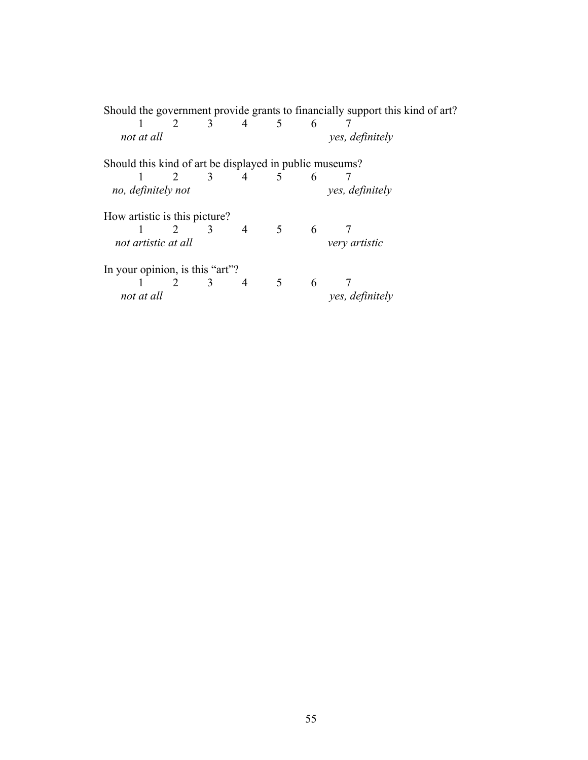|                                                         |              |                             |                |                |   | Should the government provide grants to financially support this kind of art? |
|---------------------------------------------------------|--------------|-----------------------------|----------------|----------------|---|-------------------------------------------------------------------------------|
|                                                         |              | 2 $3$                       | $4 \quad 5$    |                | 6 |                                                                               |
| not at all                                              |              |                             |                |                |   | yes, definitely                                                               |
| Should this kind of art be displayed in public museums? |              |                             |                |                |   |                                                                               |
|                                                         | $2 \sqrt{2}$ | $\overline{3}$              | $\overline{4}$ | $\sqrt{5}$     | 6 |                                                                               |
| no, definitely not                                      |              |                             |                |                |   | yes, definitely                                                               |
| How artistic is this picture?                           |              |                             |                |                |   |                                                                               |
|                                                         |              | $2 \quad 3 \quad 4 \quad 5$ |                |                | 6 |                                                                               |
| not artistic at all                                     |              |                             |                |                |   | very artistic                                                                 |
| In your opinion, is this "art"?                         |              |                             |                |                |   |                                                                               |
|                                                         | 2 3          |                             | 4              | 5 <sup>5</sup> | 6 |                                                                               |
| not at all                                              |              |                             |                |                |   | yes, definitely                                                               |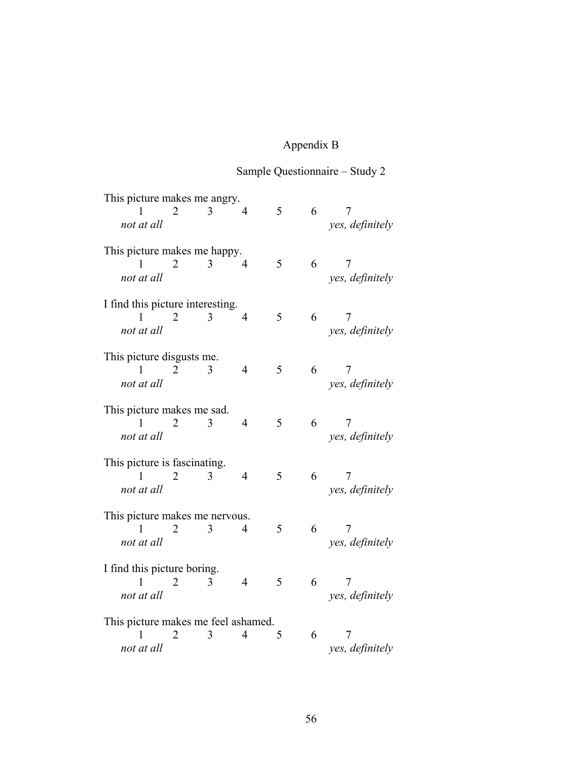# Appendix B

# Sample Questionnaire – Study 2

| This picture makes me angry.<br>1<br>not at all        | 2 | 3 | 4                        | 5 | 6 | 7<br>yes, definitely |
|--------------------------------------------------------|---|---|--------------------------|---|---|----------------------|
| This picture makes me happy.<br>1<br>not at all        | 2 | 3 | $\overline{\mathcal{A}}$ | 5 | 6 | 7<br>yes, definitely |
| I find this picture interesting.<br>1<br>not at all    | 2 | 3 | $\overline{4}$           | 5 | 6 | 7<br>yes, definitely |
| This picture disgusts me.<br>not at all                | 2 | 3 | 4                        | 5 | 6 | 7<br>yes, definitely |
| This picture makes me sad.<br>1<br>not at all          | 2 | 3 | 4                        | 5 | 6 | 7<br>yes, definitely |
| This picture is fascinating.<br>L<br>not at all        | 2 | 3 | 4                        | 5 | 6 | Ί<br>yes, definitely |
| This picture makes me nervous.<br>1<br>not at all      | 2 | 3 | 4                        | 5 | 6 | 7<br>yes, definitely |
| I find this picture boring.<br>not at all              | 2 | 3 | 4                        | 5 | 6 | yes, definitely      |
| This picture makes me feel ashamed.<br>1<br>not at all | 2 | 3 | $\overline{4}$           | 5 | 6 | yes, definitely      |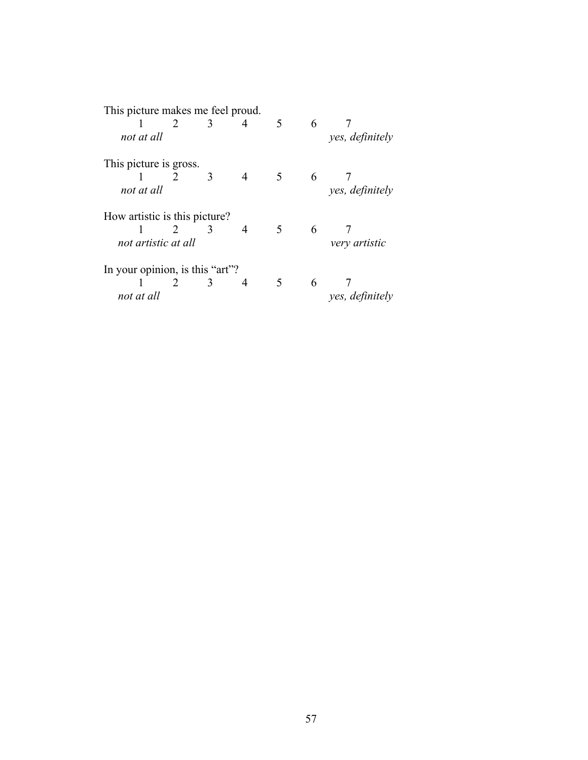| This picture makes me feel proud. |                              |               |                |                |   |                 |  |  |
|-----------------------------------|------------------------------|---------------|----------------|----------------|---|-----------------|--|--|
|                                   | $\overline{\mathbf{3}}$<br>2 |               | 4              | 5              | 6 |                 |  |  |
| not at all                        |                              |               |                |                |   | yes, definitely |  |  |
| This picture is gross.            |                              |               |                |                |   |                 |  |  |
|                                   |                              | $\mathcal{R}$ | $\overline{4}$ | 5 <sup>1</sup> | 6 |                 |  |  |
| not at all                        |                              |               |                |                |   | yes, definitely |  |  |
| How artistic is this picture?     |                              |               |                |                |   |                 |  |  |
|                                   | $2^{\circ}$                  | 3             | 4              | 5              | 6 |                 |  |  |
| not artistic at all               |                              |               |                |                |   | very artistic   |  |  |
| In your opinion, is this "art"?   |                              |               |                |                |   |                 |  |  |
|                                   | $\mathcal{L}$                | $\mathcal{E}$ | 4              | 5              | 6 |                 |  |  |
| not at all                        |                              |               |                |                |   | yes, definitely |  |  |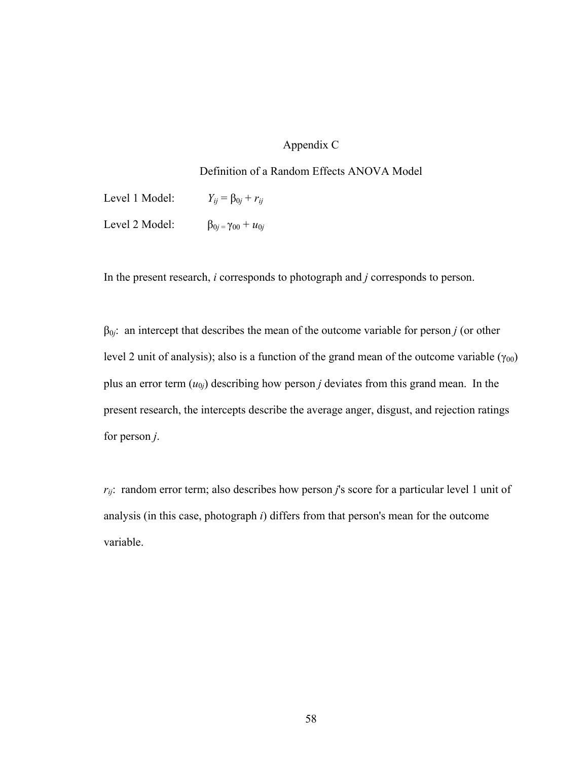# Appendix C

## Definition of a Random Effects ANOVA Model

Level 1 Model:  $Y_{ij} = \beta_{0j} + r_{ij}$ Level 2 Model:  $β_{0j} = γ_{00} + u_{0j}$ 

In the present research, *i* corresponds to photograph and *j* corresponds to person.

β0*j*: an intercept that describes the mean of the outcome variable for person *j* (or other level 2 unit of analysis); also is a function of the grand mean of the outcome variable  $(\gamma_{00})$ plus an error term  $(u_{0j})$  describing how person *j* deviates from this grand mean. In the present research, the intercepts describe the average anger, disgust, and rejection ratings for person *j*.

*rij*: random error term; also describes how person *j*'s score for a particular level 1 unit of analysis (in this case, photograph *i*) differs from that person's mean for the outcome variable.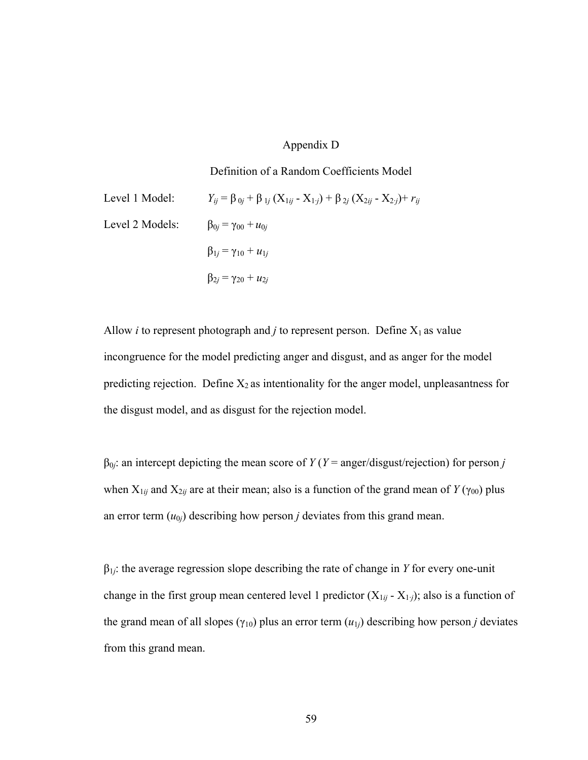## Appendix D

#### Definition of a Random Coefficients Model

Level 1 Model:  $Y_{ij} = \beta_{0j} + \beta_{1j} (X_{1ij} - X_{1j}) + \beta_{2j} (X_{2ij} - X_{2j}) + r_{ij}$ Level 2 Models:  $\beta_{0j} = \gamma_{00} + u_{0j}$  $β_{1j} = γ_{10} + u_{1j}$  $β_{2j} = γ_{20} + u_{2j}$ 

Allow *i* to represent photograph and *j* to represent person. Define  $X_1$  as value incongruence for the model predicting anger and disgust, and as anger for the model predicting rejection. Define  $X_2$  as intentionality for the anger model, unpleasantness for the disgust model, and as disgust for the rejection model.

 $β<sub>0j</sub>$ : an intercept depicting the mean score of *Y* (*Y* = anger/disgust/rejection) for person *j* when  $X_{1ij}$  and  $X_{2ij}$  are at their mean; also is a function of the grand mean of *Y* ( $\gamma_{00}$ ) plus an error term  $(u_{0j})$  describing how person *j* deviates from this grand mean.

β1*j*: the average regression slope describing the rate of change in *Y* for every one-unit change in the first group mean centered level 1 predictor  $(X_{1ij} - X_{1j})$ ; also is a function of the grand mean of all slopes ( $\gamma_{10}$ ) plus an error term ( $u_{1j}$ ) describing how person *j* deviates from this grand mean.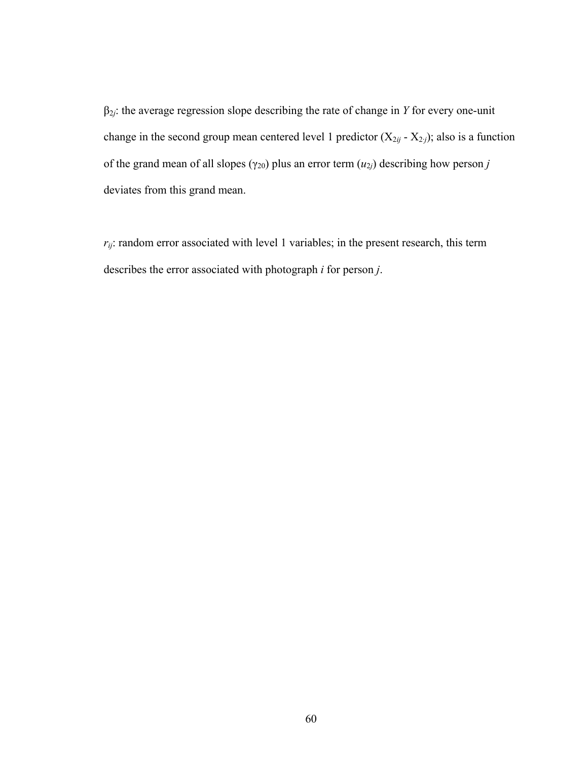β2*j*: the average regression slope describing the rate of change in *Y* for every one-unit change in the second group mean centered level 1 predictor  $(X_{2ij} - X_{2j})$ ; also is a function of the grand mean of all slopes ( $\gamma_{20}$ ) plus an error term  $(u_{2j})$  describing how person *j* deviates from this grand mean.

 $r_{ij}$ : random error associated with level 1 variables; in the present research, this term describes the error associated with photograph *i* for person *j*.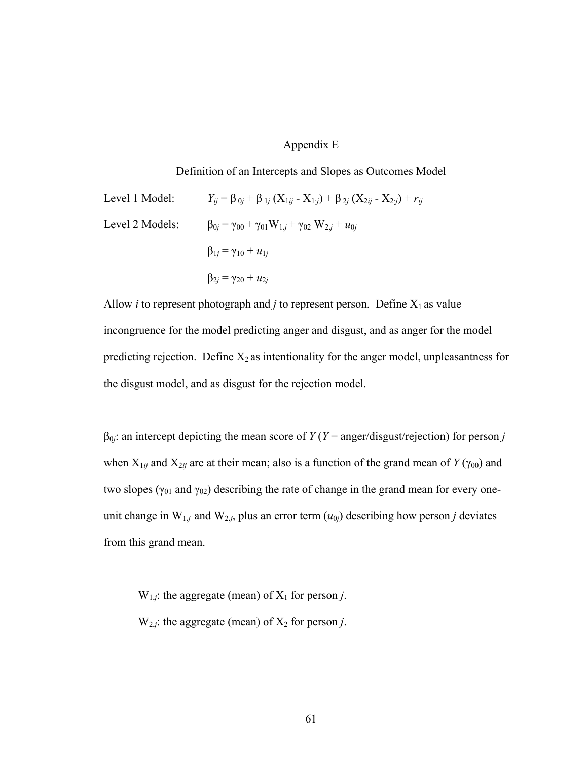## Appendix E

#### Definition of an Intercepts and Slopes as Outcomes Model

Level 1 Model:

\n
$$
Y_{ij} = \beta_{0j} + \beta_{1j} (X_{1ij} - X_{1j}) + \beta_{2j} (X_{2ij} - X_{2j}) + r_{ij}
$$
\nLevel 2 Models:

\n
$$
\beta_{0j} = \gamma_{00} + \gamma_{01} W_{1j} + \gamma_{02} W_{2j} + u_{0j}
$$
\n
$$
\beta_{1j} = \gamma_{10} + u_{1j}
$$
\n
$$
\beta_{2j} = \gamma_{20} + u_{2j}
$$

Allow *i* to represent photograph and *j* to represent person. Define  $X_1$  as value incongruence for the model predicting anger and disgust, and as anger for the model predicting rejection. Define  $X_2$  as intentionality for the anger model, unpleasantness for the disgust model, and as disgust for the rejection model.

 $\beta_{0j}$ : an intercept depicting the mean score of *Y* (*Y* = anger/disgust/rejection) for person *j* when  $X_{1ij}$  and  $X_{2ij}$  are at their mean; also is a function of the grand mean of  $Y(\gamma_{00})$  and two slopes ( $\gamma_{01}$  and  $\gamma_{02}$ ) describing the rate of change in the grand mean for every oneunit change in  $W_{1,j}$  and  $W_{2,j}$ , plus an error term  $(u_{0j})$  describing how person *j* deviates from this grand mean.

 $W_{1,j}$ : the aggregate (mean) of  $X_1$  for person *j*.

 $W_{2,i}$ : the aggregate (mean) of  $X_2$  for person *j*.